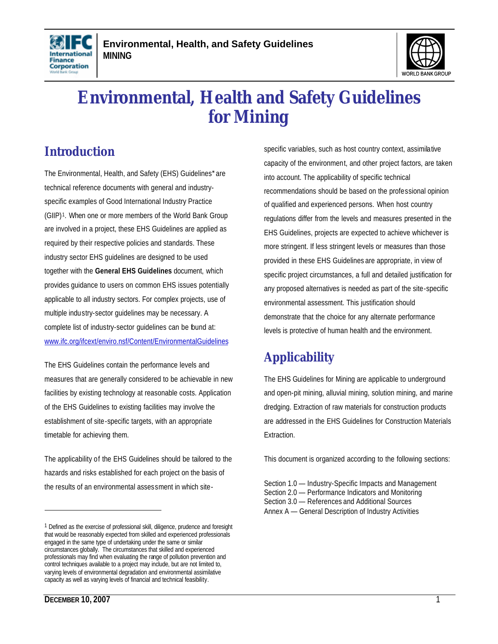



# **Environmental, Health and Safety Guidelines for Mining**

# **Introduction**

The Environmental, Health, and Safety (EHS) Guidelines\* are technical reference documents with general and industryspecific examples of Good International Industry Practice (GIIP)1. When one or more members of the World Bank Group are involved in a project, these EHS Guidelines are applied as required by their respective policies and standards. These industry sector EHS guidelines are designed to be used together with the **General EHS Guidelines** document, which provides guidance to users on common EHS issues potentially applicable to all industry sectors. For complex projects, use of multiple industry-sector guidelines may be necessary. A complete list of industry-sector guidelines can be found at: www.ifc.org/ifcext/enviro.nsf/Content/EnvironmentalGuidelines

The EHS Guidelines contain the performance levels and measures that are generally considered to be achievable in new facilities by existing technology at reasonable costs. Application of the EHS Guidelines to existing facilities may involve the establishment of site-specific targets, with an appropriate timetable for achieving them.

The applicability of the EHS Guidelines should be tailored to the hazards and risks established for each project on the basis of the results of an environmental assessment in which site-

**DECEMBER 10, 2007** 1

 $\overline{a}$ 

specific variables, such as host country context, assimilative capacity of the environment, and other project factors, are taken into account. The applicability of specific technical recommendations should be based on the professional opinion of qualified and experienced persons. When host country regulations differ from the levels and measures presented in the EHS Guidelines, projects are expected to achieve whichever is more stringent. If less stringent levels or measures than those provided in these EHS Guidelines are appropriate, in view of specific project circumstances, a full and detailed justification for any proposed alternatives is needed as part of the site-specific environmental assessment. This justification should demonstrate that the choice for any alternate performance levels is protective of human health and the environment.

# **Applicability**

The EHS Guidelines for Mining are applicable to underground and open-pit mining, alluvial mining, solution mining, and marine dredging. Extraction of raw materials for construction products are addressed in the EHS Guidelines for Construction Materials Extraction.

This document is organized according to the following sections:

Section 1.0 — Industry-Specific Impacts and Management Section 2.0 — Performance Indicators and Monitoring Section 3.0 — References and Additional Sources Annex A — General Description of Industry Activities

<sup>1</sup> Defined as the exercise of professional skill, diligence, prudence and foresight that would be reasonably expected from skilled and experienced professionals engaged in the same type of undertaking under the same or similar circumstances globally. The circumstances that skilled and experienced professionals may find when evaluating the range of pollution prevention and control techniques available to a project may include, but are not limited to, varying levels of environmental degradation and environmental assimilative capacity as well as varying levels of financial and technical feasibility.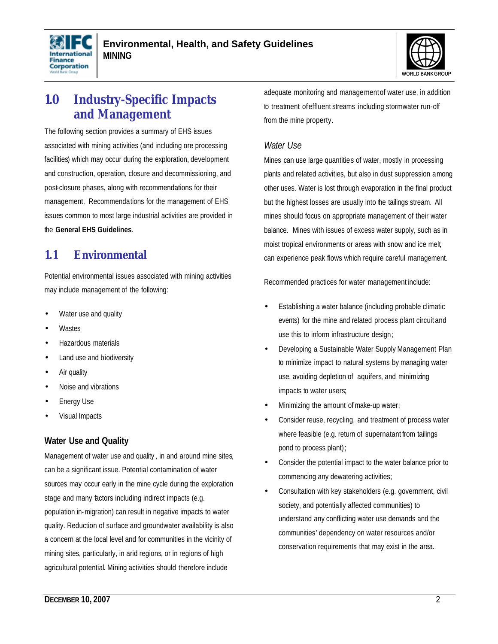



# **1.0 Industry-Specific Impacts and Management**

The following section provides a summary of EHS issues associated with mining activities (and including ore processing facilities) which may occur during the exploration, development and construction, operation, closure and decommissioning, and post-closure phases, along with recommendations for their management. Recommendations for the management of EHS issues common to most large industrial activities are provided in the **General EHS Guidelines**.

### **1.1 Environmental**

Potential environmental issues associated with mining activities may include management of the following:

- Water use and quality
- **Wastes**
- Hazardous materials
- Land use and biodiversity
- Air quality
- Noise and vibrations
- **Energy Use**
- Visual Impacts

#### **Water Use and Quality**

Management of water use and quality , in and around mine sites, can be a significant issue. Potential contamination of water sources may occur early in the mine cycle during the exploration stage and many factors including indirect impacts (e.g. population in-migration) can result in negative impacts to water quality. Reduction of surface and groundwater availability is also a concern at the local level and for communities in the vicinity of mining sites, particularly, in arid regions, or in regions of high agricultural potential. Mining activities should therefore include

adequate monitoring and managementof water use, in addition to treatment of effluent streams including stormwater run-off from the mine property.

#### *Water Use*

Mines can use large quantities of water, mostly in processing plants and related activities, but also in dust suppression among other uses. Water is lost through evaporation in the final product but the highest losses are usually into the tailings stream. All mines should focus on appropriate management of their water balance. Mines with issues of excess water supply, such as in moist tropical environments or areas with snow and ice melt, can experience peak flows which require careful management.

Recommended practices for water management include:

- Establishing a water balance (including probable climatic events) for the mine and related process plant circuit and use this to inform infrastructure design;
- Developing a Sustainable Water Supply Management Plan to minimize impact to natural systems by managing water use, avoiding depletion of aquifers, and minimizing impacts to water users;
- Minimizing the amount of make-up water;
- Consider reuse, recycling, and treatment of process water where feasible (e.g. return of supernatant from tailings pond to process plant);
- Consider the potential impact to the water balance prior to commencing any dewatering activities;
- Consultation with key stakeholders (e.g. government, civil society, and potentially affected communities) to understand any conflicting water use demands and the communities' dependency on water resources and/or conservation requirements that may exist in the area.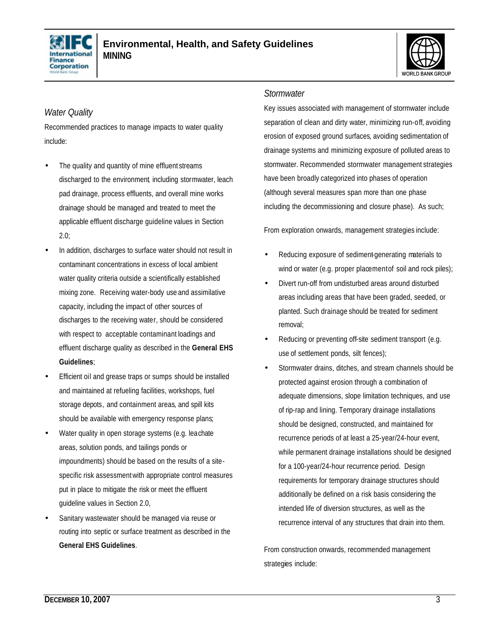



#### *Water Quality*

Recommended practices to manage impacts to water quality include:

- The quality and quantity of mine effluent streams discharged to the environment, including stormwater, leach pad drainage, process effluents, and overall mine works drainage should be managed and treated to meet the applicable effluent discharge guideline values in Section  $2.0$
- In addition, discharges to surface water should not result in contaminant concentrations in excess of local ambient water quality criteria outside a scientifically established mixing zone. Receiving water-body use and assimilative capacity, including the impact of other sources of discharges to the receiving water, should be considered with respect to acceptable contaminant loadings and effluent discharge quality as described in the **General EHS Guidelines**;
- Efficient oil and grease traps or sumps should be installed and maintained at refueling facilities, workshops, fuel storage depots, and containment areas, and spill kits should be available with emergency response plans;
- Water quality in open storage systems (e.g. leachate areas, solution ponds, and tailings ponds or impoundments) should be based on the results of a sitespecific risk assessment with appropriate control measures put in place to mitigate the risk or meet the effluent guideline values in Section 2.0,
- Sanitary wastewater should be managed via reuse or routing into septic or surface treatment as described in the **General EHS Guidelines**.

#### *Stormwater*

Key issues associated with management of stormwater include separation of clean and dirty water, minimizing run-off, avoiding erosion of exposed ground surfaces, avoiding sedimentation of drainage systems and minimizing exposure of polluted areas to stormwater. Recommended stormwater management strategies have been broadly categorized into phases of operation (although several measures span more than one phase including the decommissioning and closure phase). As such;

From exploration onwards, management strategies include:

- Reducing exposure of sediment-generating materials to wind or water (e.g. proper placement of soil and rock piles);
- Divert run-off from undisturbed areas around disturbed areas including areas that have been graded, seeded, or planted. Such drainage should be treated for sediment removal;
- Reducing or preventing off-site sediment transport (e.g. use of settlement ponds, silt fences);
- Stormwater drains, ditches, and stream channels should be protected against erosion through a combination of adequate dimensions, slope limitation techniques, and use of rip-rap and lining. Temporary drainage installations should be designed, constructed, and maintained for recurrence periods of at least a 25-year/24-hour event, while permanent drainage installations should be designed for a 100-year/24-hour recurrence period. Design requirements for temporary drainage structures should additionally be defined on a risk basis considering the intended life of diversion structures, as well as the recurrence interval of any structures that drain into them.

From construction onwards, recommended management strategies include: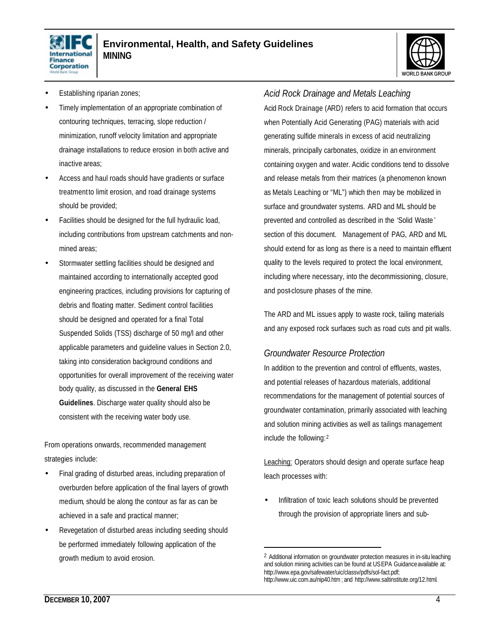



- Establishing riparian zones;
- Timely implementation of an appropriate combination of contouring techniques, terracing, slope reduction / minimization, runoff velocity limitation and appropriate drainage installations to reduce erosion in both active and inactive areas;
- Access and haul roads should have gradients or surface treatment to limit erosion, and road drainage systems should be provided;
- Facilities should be designed for the full hydraulic load, including contributions from upstream catchments and nonmined areas;
- Stormwater settling facilities should be designed and maintained according to internationally accepted good engineering practices, including provisions for capturing of debris and floating matter. Sediment control facilities should be designed and operated for a final Total Suspended Solids (TSS) discharge of 50 mg/l and other applicable parameters and guideline values in Section 2.0, taking into consideration background conditions and opportunities for overall improvement of the receiving water body quality, as discussed in the **General EHS Guidelines**. Discharge water quality should also be consistent with the receiving water body use.

From operations onwards, recommended management strategies include:

- Final grading of disturbed areas, including preparation of overburden before application of the final layers of growth medium, should be along the contour as far as can be achieved in a safe and practical manner;
- Revegetation of disturbed areas including seeding should be performed immediately following application of the growth medium to avoid erosion.

*Acid Rock Drainage and Metals Leaching*

Acid Rock Drainage (ARD) refers to acid formation that occurs when Potentially Acid Generating (PAG) materials with acid generating sulfide minerals in excess of acid neutralizing minerals, principally carbonates, oxidize in an environment containing oxygen and water. Acidic conditions tend to dissolve and release metals from their matrices (a phenomenon known as Metals Leaching or "ML") which then may be mobilized in surface and groundwater systems. ARD and ML should be prevented and controlled as described in the 'Solid Waste ' section of this document. Management of PAG, ARD and ML should extend for as long as there is a need to maintain effluent quality to the levels required to protect the local environment, including where necessary, into the decommissioning, closure, and post-closure phases of the mine.

The ARD and ML issues apply to waste rock, tailing materials and any exposed rock surfaces such as road cuts and pit walls.

#### *Groundwater Resource Protection*

In addition to the prevention and control of effluents, wastes, and potential releases of hazardous materials, additional recommendations for the management of potential sources of groundwater contamination, primarily associated with leaching and solution mining activities as well as tailings management include the following:<sup>2</sup>

Leaching: Operators should design and operate surface heap leach processes with:

• Infiltration of toxic leach solutions should be prevented through the provision of appropriate liners and sub-

<sup>2</sup> Additional information on groundwater protection measures in in-situ leaching and solution mining activities can be found at USEPA Guidance available at: http://www.epa.gov/safewater/uic/classv/pdfs/sol-fact.pdf; http://www.uic.com.au/nip40.htm; and http://www.saltinstitute.org/12.html.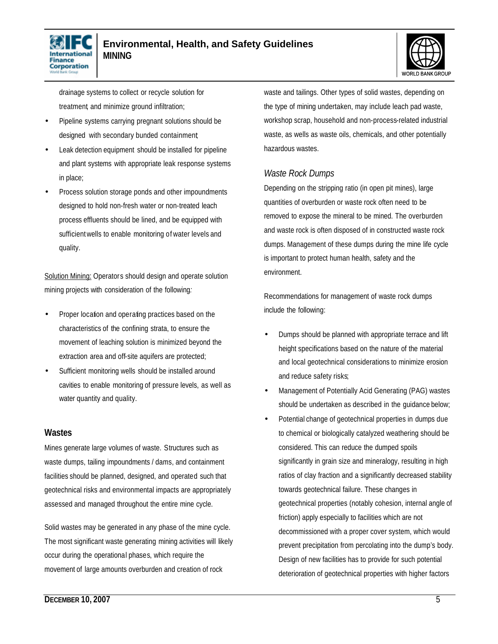



drainage systems to collect or recycle solution for treatment, and minimize ground infiltration;

- Pipeline systems carrying pregnant solutions should be designed with secondary bunded containment;
- Leak detection equipment should be installed for pipeline and plant systems with appropriate leak response systems in place;
- Process solution storage ponds and other impoundments designed to hold non-fresh water or non-treated leach process effluents should be lined, and be equipped with sufficient wells to enable monitoring of water levels and quality.

Solution Mining: Operators should design and operate solution mining projects with consideration of the following*:*

- Proper location and operating practices based on the characteristics of the confining strata, to ensure the movement of leaching solution is minimized beyond the extraction area and off-site aquifers are protected;
- Sufficient monitoring wells should be installed around cavities to enable monitoring of pressure levels, as well as water quantity and quality.

#### **Wastes**

Mines generate large volumes of waste. Structures such as waste dumps, tailing impoundments / dams, and containment facilities should be planned, designed, and operated such that geotechnical risks and environmental impacts are appropriately assessed and managed throughout the entire mine cycle.

Solid wastes may be generated in any phase of the mine cycle. The most significant waste generating mining activities will likely occur during the operational phases, which require the movement of large amounts overburden and creation of rock

waste and tailings. Other types of solid wastes, depending on the type of mining undertaken, may include leach pad waste, workshop scrap, household and non-process-related industrial waste, as wells as waste oils, chemicals, and other potentially hazardous wastes.

#### *Waste Rock Dumps*

Depending on the stripping ratio (in open pit mines), large quantities of overburden or waste rock often need to be removed to expose the mineral to be mined. The overburden and waste rock is often disposed of in constructed waste rock dumps. Management of these dumps during the mine life cycle is important to protect human health, safety and the environment.

Recommendations for management of waste rock dumps include the following:

- Dumps should be planned with appropriate terrace and lift height specifications based on the nature of the material and local geotechnical considerations to minimize erosion and reduce safety risks;
- Management of Potentially Acid Generating (PAG) wastes should be undertaken as described in the guidance below;
- Potential change of geotechnical properties in dumps due to chemical or biologically catalyzed weathering should be considered. This can reduce the dumped spoils significantly in grain size and mineralogy, resulting in high ratios of clay fraction and a significantly decreased stability towards geotechnical failure. These changes in geotechnical properties (notably cohesion, internal angle of friction) apply especially to facilities which are not decommissioned with a proper cover system, which would prevent precipitation from percolating into the dump's body. Design of new facilities has to provide for such potential deterioration of geotechnical properties with higher factors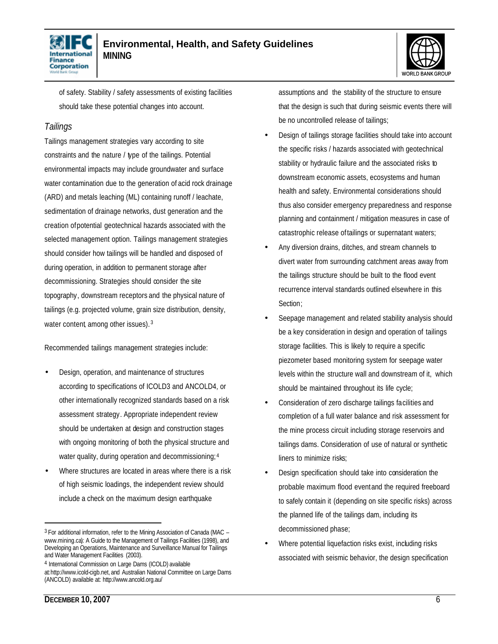



of safety. Stability / safety assessments of existing facilities should take these potential changes into account.

#### *Tailings*

Tailings management strategies vary according to site constraints and the nature / type of the tailings. Potential environmental impacts may include groundwater and surface water contamination due to the generation of acid rock drainage (ARD) and metals leaching (ML) containing runoff / leachate, sedimentation of drainage networks, dust generation and the creation of potential geotechnical hazards associated with the selected management option. Tailings management strategies should consider how tailings will be handled and disposed of during operation, in addition to permanent storage after decommissioning. Strategies should consider the site topography, downstream receptors and the physical nature of tailings (e.g. projected volume, grain size distribution, density, water content, among other issues).  $3$ 

Recommended tailings management strategies include:

- Design, operation, and maintenance of structures according to specifications of ICOLD3 and ANCOLD4, or other internationally recognized standards based on a risk assessment strategy. Appropriate independent review should be undertaken at design and construction stages with ongoing monitoring of both the physical structure and water quality, during operation and decommissioning; 4
- Where structures are located in areas where there is a risk of high seismic loadings, the independent review should include a check on the maximum design earthquake

assumptions and the stability of the structure to ensure that the design is such that during seismic events there will be no uncontrolled release of tailings;

- Design of tailings storage facilities should take into account the specific risks / hazards associated with geotechnical stability or hydraulic failure and the associated risks to downstream economic assets, ecosystems and human health and safety. Environmental considerations should thus also consider emergency preparedness and response planning and containment / mitigation measures in case of catastrophic release of tailings or supernatant waters;
- Any diversion drains, ditches, and stream channels to divert water from surrounding catchment areas away from the tailings structure should be built to the flood event recurrence interval standards outlined elsewhere in this Section;
- Seepage management and related stability analysis should be a key consideration in design and operation of tailings storage facilities. This is likely to require a specific piezometer based monitoring system for seepage water levels within the structure wall and downstream of it, which should be maintained throughout its life cycle;
- Consideration of zero discharge tailings facilities and completion of a full water balance and risk assessment for the mine process circuit including storage reservoirs and tailings dams. Consideration of use of natural or synthetic liners to minimize risks;
- Design specification should take into consideration the probable maximum flood eventand the required freeboard to safely contain it (depending on site specific risks) across the planned life of the tailings dam, including its decommissioned phase;
- Where potential liquefaction risks exist, including risks associated with seismic behavior, the design specification

<sup>3</sup> For additional information, refer to the Mining Association of Canada (MAC – www.mining.ca): A Guide to the Management of Tailings Facilities (1998), and Developing an Operations, Maintenance and Surveillance Manual for Tailings and Water Management Facilities (2003).

<sup>4</sup> International Commission on Large Dams (ICOLD) available at:http://www.icold-cigb.net, and Australian National Committee on Large Dams (ANCOLD) available at: http://www.ancold.org.au/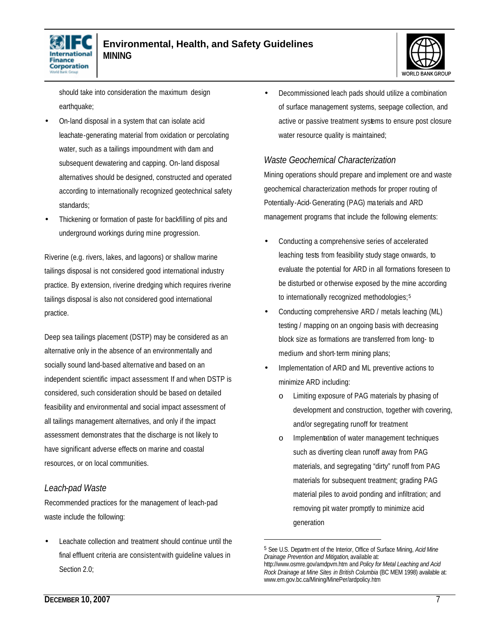### **International Finance Corporation**

#### **Environmental, Health, and Safety Guidelines MINING**



should take into consideration the maximum design earthquake;

- On-land disposal in a system that can isolate acid leachate-generating material from oxidation or percolating water, such as a tailings impoundment with dam and subsequent dewatering and capping. On-land disposal alternatives should be designed, constructed and operated according to internationally recognized geotechnical safety standards;
- Thickening or formation of paste for backfilling of pits and underground workings during mine progression.

Riverine (e.g. rivers, lakes, and lagoons) or shallow marine tailings disposal is not considered good international industry practice. By extension, riverine dredging which requires riverine tailings disposal is also not considered good international practice.

Deep sea tailings placement (DSTP) may be considered as an alternative only in the absence of an environmentally and socially sound land-based alternative and based on an independent scientific impact assessment. If and when DSTP is considered, such consideration should be based on detailed feasibility and environmental and social impact assessment of all tailings management alternatives, and only if the impact assessment demonstrates that the discharge is not likely to have significant adverse effects on marine and coastal resources, or on local communities.

#### *Leach-pad Waste*

Recommended practices for the management of leach-pad waste include the following:

• Leachate collection and treatment should continue until the final effluent criteria are consistentwith guideline values in Section 2.0:

• Decommissioned leach pads should utilize a combination of surface management systems, seepage collection, and active or passive treatment systems to ensure post closure water resource quality is maintained;

#### *Waste Geochemical Characterization*

Mining operations should prepare and implement ore and waste geochemical characterization methods for proper routing of Potentially-Acid-Generating (PAG) ma terials and ARD management programs that include the following elements:

- Conducting a comprehensive series of accelerated leaching tests from feasibility study stage onwards, to evaluate the potential for ARD in all formations foreseen to be disturbed or otherwise exposed by the mine according to internationally recognized methodologies; 5
- Conducting comprehensive ARD / metals leaching (ML) testing / mapping on an ongoing basis with decreasing block size as formations are transferred from long- to medium- and short-term mining plans;
- Implementation of ARD and ML preventive actions to minimize ARD including:
	- o Limiting exposure of PAG materials by phasing of development and construction, together with covering, and/or segregating runoff for treatment
	- o Implementation of water management techniques such as diverting clean runoff away from PAG materials, and segregating "dirty" runoff from PAG materials for subsequent treatment; grading PAG material piles to avoid ponding and infiltration; and removing pit water promptly to minimize acid generation

<sup>5</sup> See U.S. Department of the Interior, Office of Surface Mining, *Acid Mine Drainage Prevention and Mitigation*, available at: http://www.osmre.gov/amdpvm.htm and *Policy for Metal Leaching and Acid Rock Drainage at Mine Sites in British Columbia* (BC MEM 1998) available at: www.em.gov.bc.ca/Mining/MinePer/ardpolicy.htm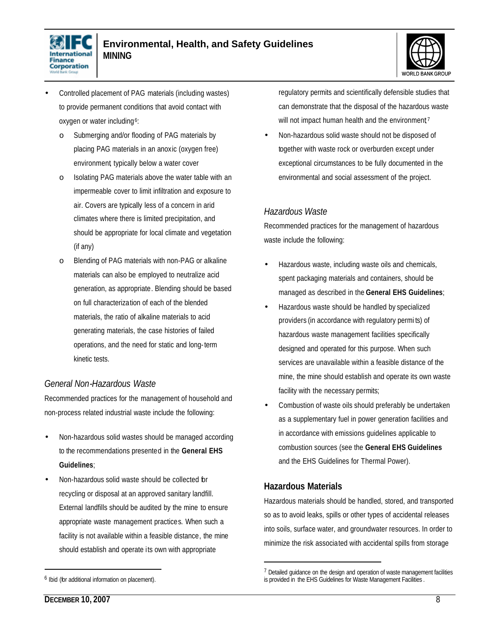



- Controlled placement of PAG materials (including wastes) to provide permanent conditions that avoid contact with oxygen or water including<sup>6</sup>:
	- o Submerging and/or flooding of PAG materials by placing PAG materials in an anoxic (oxygen free) environment, typically below a water cover
	- o Isolating PAG materials above the water table with an impermeable cover to limit infiltration and exposure to air. Covers are typically less of a concern in arid climates where there is limited precipitation, and should be appropriate for local climate and vegetation (if any)
	- o Blending of PAG materials with non-PAG or alkaline materials can also be employed to neutralize acid generation, as appropriate. Blending should be based on full characterization of each of the blended materials, the ratio of alkaline materials to acid generating materials, the case histories of failed operations, and the need for static and long-term kinetic tests.

#### *General Non-Hazardous Waste*

Recommended practices for the management of household and non-process related industrial waste include the following:

- Non-hazardous solid wastes should be managed according to the recommendations presented in the **General EHS Guidelines**;
- Non-hazardous solid waste should be collected for recycling or disposal at an approved sanitary landfill. External landfills should be audited by the mine to ensure appropriate waste management practices. When such a facility is not available within a feasible distance, the mine should establish and operate its own with appropriate

regulatory permits and scientifically defensible studies that can demonstrate that the disposal of the hazardous waste will not impact human health and the environment<sup>7</sup>

• Non-hazardous solid waste should not be disposed of together with waste rock or overburden except under exceptional circumstances to be fully documented in the environmental and social assessment of the project.

#### *Hazardous Waste*

Recommended practices for the management of hazardous waste include the following:

- Hazardous waste, including waste oils and chemicals, spent packaging materials and containers, should be managed as described in the **General EHS Guidelines**;
- Hazardous waste should be handled by specialized providers (in accordance with regulatory permi ts) of hazardous waste management facilities specifically designed and operated for this purpose. When such services are unavailable within a feasible distance of the mine, the mine should establish and operate its own waste facility with the necessary permits;
- Combustion of waste oils should preferably be undertaken as a supplementary fuel in power generation facilities and in accordance with emissions guidelines applicable to combustion sources (see the **General EHS Guidelines** and the EHS Guidelines for Thermal Power).

#### **Hazardous Materials**

 $\overline{a}$ 

Hazardous materials should be handled, stored, and transported so as to avoid leaks, spills or other types of accidental releases into soils, surface water, and groundwater resources. In order to minimize the risk associated with accidental spills from storage

<sup>6</sup> Ibid (for additional information on placement).

<sup>7</sup> Detailed guidance on the design and operation of waste management facilities is provided in the EHS Guidelines for Waste Management Facilities .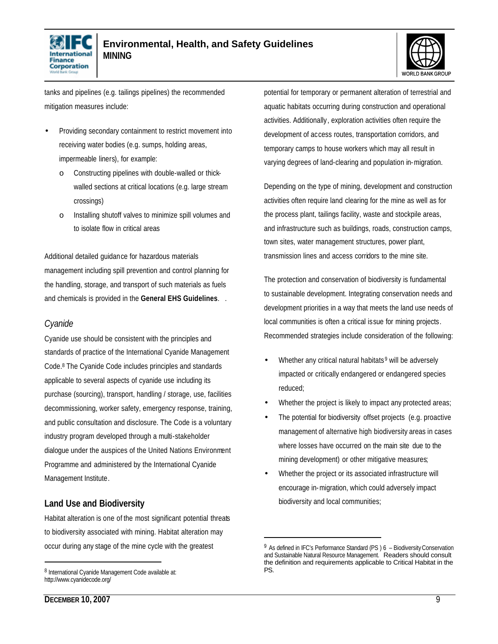



tanks and pipelines (e.g. tailings pipelines) the recommended mitigation measures include:

- Providing secondary containment to restrict movement into receiving water bodies (e.g. sumps, holding areas, impermeable liners), for example:
	- o Constructing pipelines with double-walled or thickwalled sections at critical locations (e.g. large stream crossings)
	- o Installing shutoff valves to minimize spill volumes and to isolate flow in critical areas

Additional detailed guidance for hazardous materials management including spill prevention and control planning for the handling, storage, and transport of such materials as fuels and chemicals is provided in the **General EHS Guidelines**. .

#### *Cyanide*

Cyanide use should be consistent with the principles and standards of practice of the International Cyanide Management Code.<sup>8</sup> The Cyanide Code includes principles and standards applicable to several aspects of cyanide use including its purchase (sourcing), transport, handling / storage, use, facilities decommissioning, worker safety, emergency response, training, and public consultation and disclosure. The Code is a voluntary industry program developed through a multi-stakeholder dialogue under the auspices of the United Nations Environment Programme and administered by the International Cyanide Management Institute.

#### **Land Use and Biodiversity**

Habitat alteration is one of the most significant potential threats to biodiversity associated with mining. Habitat alteration may occur during any stage of the mine cycle with the greatest

potential for temporary or permanent alteration of terrestrial and aquatic habitats occurring during construction and operational activities. Additionally, exploration activities often require the development of access routes, transportation corridors, and temporary camps to house workers which may all result in varying degrees of land-clearing and population in-migration.

Depending on the type of mining, development and construction activities often require land clearing for the mine as well as for the process plant, tailings facility, waste and stockpile areas, and infrastructure such as buildings, roads, construction camps, town sites, water management structures, power plant, transmission lines and access corridors to the mine site.

The protection and conservation of biodiversity is fundamental to sustainable development. Integrating conservation needs and development priorities in a way that meets the land use needs of local communities is often a critical issue for mining projects. Recommended strategies include consideration of the following:

- Whether any critical natural habitats <sup>9</sup> will be adversely impacted or critically endangered or endangered species reduced;
- Whether the project is likely to impact any protected areas;
- The potential for biodiversity offset projects (e.g. proactive management of alternative high biodiversity areas in cases where losses have occurred on the main site due to the mining development) or other mitigative measures;
- Whether the project or its associated infrastructure will encourage in-migration, which could adversely impact biodiversity and local communities;

 $\overline{a}$ 

<sup>8</sup> International Cyanide Management Code available at: http://www.cyanidecode.org/

<sup>9</sup> As defined in IFC's Performance Standard (PS ) 6 – Biodiversity Conservation and Sustainable Natural Resource Management. Readers should consult the definition and requirements applicable to Critical Habitat in the PS.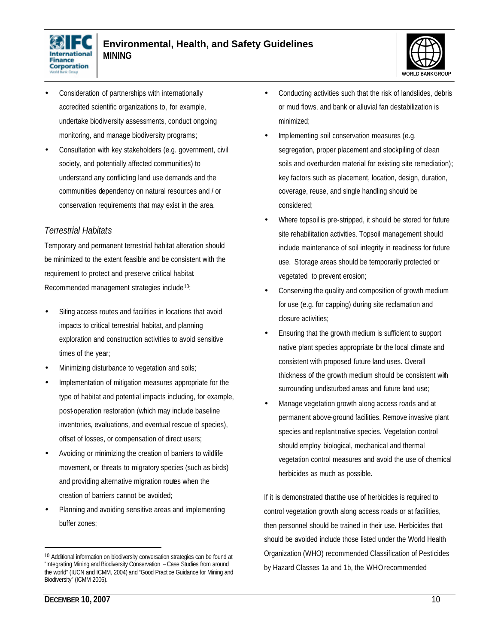



- Consideration of partnerships with internationally accredited scientific organizations to, for example, undertake biodiversity assessments, conduct ongoing monitoring, and manage biodiversity programs;
- Consultation with key stakeholders (e.g. government, civil society, and potentially affected communities) to understand any conflicting land use demands and the communities dependency on natural resources and / or conservation requirements that may exist in the area.

#### *Terrestrial Habitats*

Temporary and permanent terrestrial habitat alteration should be minimized to the extent feasible and be consistent with the requirement to protect and preserve critical habitat. Recommended management strategies include<sup>10</sup>:

- Siting access routes and facilities in locations that avoid impacts to critical terrestrial habitat, and planning exploration and construction activities to avoid sensitive times of the year;
- Minimizing disturbance to vegetation and soils;
- Implementation of mitigation measures appropriate for the type of habitat and potential impacts including, for example, post-operation restoration (which may include baseline inventories, evaluations, and eventual rescue of species), offset of losses, or compensation of direct users;
- Avoiding or minimizing the creation of barriers to wildlife movement, or threats to migratory species (such as birds) and providing alternative migration routes when the creation of barriers cannot be avoided;
- Planning and avoiding sensitive areas and implementing buffer zones;
- Conducting activities such that the risk of landslides, debris or mud flows, and bank or alluvial fan destabilization is minimized;
- Implementing soil conservation measures (e.g. segregation, proper placement and stockpiling of clean soils and overburden material for existing site remediation); key factors such as placement, location, design, duration, coverage, reuse, and single handling should be considered;
- Where topsoil is pre-stripped, it should be stored for future site rehabilitation activities. Topsoil management should include maintenance of soil integrity in readiness for future use. Storage areas should be temporarily protected or vegetated to prevent erosion;
- Conserving the quality and composition of growth medium for use (e.g. for capping) during site reclamation and closure activities;
- Ensuring that the growth medium is sufficient to support native plant species appropriate for the local climate and consistent with proposed future land uses. Overall thickness of the growth medium should be consistent with surrounding undisturbed areas and future land use;
- Manage vegetation growth along access roads and at permanent above-ground facilities. Remove invasive plant species and replant native species. Vegetation control should employ biological, mechanical and thermal vegetation control measures and avoid the use of chemical herbicides as much as possible.

If it is demonstrated that the use of herbicides is required to control vegetation growth along access roads or at facilities, then personnel should be trained in their use. Herbicides that should be avoided include those listed under the World Health Organization (WHO) recommended Classification of Pesticides by Hazard Classes 1a and 1b, the WHO recommended

<sup>10</sup> Additional information on biodiversity conversation strategies can be found at "Integrating Mining and Biodiversity Conservation – Case Studies from around the world" (IUCN and ICMM, 2004) and "Good Practice Guidance for Mining and Biodiversity" (ICMM 2006).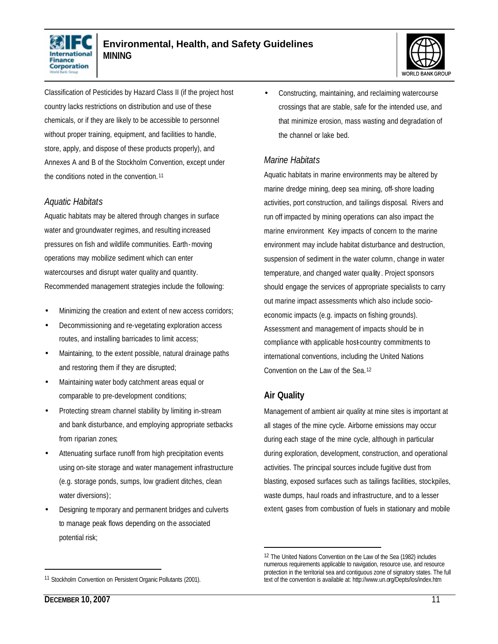



Classification of Pesticides by Hazard Class II (if the project host country lacks restrictions on distribution and use of these chemicals, or if they are likely to be accessible to personnel without proper training, equipment, and facilities to handle, store, apply, and dispose of these products properly), and Annexes A and B of the Stockholm Convention, except under the conditions noted in the convention. <sup>11</sup>

#### *Aquatic Habitats*

Aquatic habitats may be altered through changes in surface water and groundwater regimes, and resulting increased pressures on fish and wildlife communities. Earth-moving operations may mobilize sediment which can enter watercourses and disrupt water quality and quantity. Recommended management strategies include the following:

- Minimizing the creation and extent of new access corridors;
- Decommissioning and re-vegetating exploration access routes, and installing barricades to limit access;
- Maintaining, to the extent possible, natural drainage paths and restoring them if they are disrupted;
- Maintaining water body catchment areas equal or comparable to pre-development conditions;
- Protecting stream channel stability by limiting in-stream and bank disturbance, and employing appropriate setbacks from riparian zones;
- Attenuating surface runoff from high precipitation events using on-site storage and water management infrastructure (e.g. storage ponds, sumps, low gradient ditches, clean water diversions);
- Designing temporary and permanent bridges and culverts to manage peak flows depending on the associated potential risk;

• Constructing, maintaining, and reclaiming watercourse crossings that are stable, safe for the intended use, and that minimize erosion, mass wasting and degradation of the channel or lake bed.

#### *Marine Habitats*

Aquatic habitats in marine environments may be altered by marine dredge mining, deep sea mining, off- shore loading activities, port construction, and tailings disposal. Rivers and run off impacted by mining operations can also impact the marine environment. Key impacts of concern to the marine environment may include habitat disturbance and destruction, suspension of sediment in the water column, change in water temperature, and changed water quality . Project sponsors should engage the services of appropriate specialists to carry out marine impact assessments which also include socioeconomic impacts (e.g. impacts on fishing grounds). Assessment and management of impacts should be in compliance with applicable host-country commitments to international conventions, including the United Nations Convention on the Law of the Sea.<sup>12</sup>

#### **Air Quality**

 $\overline{a}$ 

Management of ambient air quality at mine sites is important at all stages of the mine cycle. Airborne emissions may occur during each stage of the mine cycle, although in particular during exploration, development, construction, and operational activities. The principal sources include fugitive dust from blasting, exposed surfaces such as tailings facilities, stockpiles, waste dumps, haul roads and infrastructure, and to a lesser extent, gases from combustion of fuels in stationary and mobile

<sup>11</sup> Stockholm Convention on Persistent Organic Pollutants (2001).

<sup>12</sup> The United Nations Convention on the Law of the Sea (1982) includes numerous requirements applicable to navigation, resource use, and resource protection in the territorial sea and contiguous zone of signatory states. The full text of the convention is available at: http://www.un.org/Depts/los/index.htm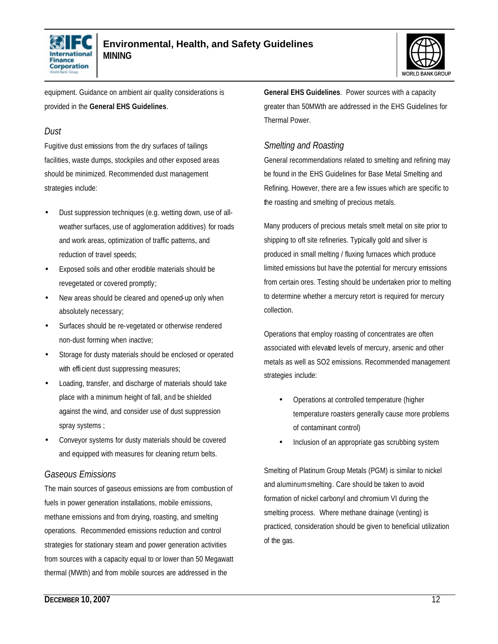



equipment. Guidance on ambient air quality considerations is provided in the **General EHS Guidelines**.

#### *Dust*

Fugitive dust emissions from the dry surfaces of tailings facilities, waste dumps, stockpiles and other exposed areas should be minimized. Recommended dust management strategies include:

- Dust suppression techniques (e.g. wetting down, use of allweather surfaces, use of agglomeration additives) for roads and work areas, optimization of traffic patterns, and reduction of travel speeds;
- Exposed soils and other erodible materials should be revegetated or covered promptly;
- New areas should be cleared and opened-up only when absolutely necessary;
- Surfaces should be re-vegetated or otherwise rendered non-dust forming when inactive;
- Storage for dusty materials should be enclosed or operated with efficient dust suppressing measures;
- Loading, transfer, and discharge of materials should take place with a minimum height of fall, and be shielded against the wind, and consider use of dust suppression spray systems ;
- Conveyor systems for dusty materials should be covered and equipped with measures for cleaning return belts.

#### *Gaseous Emissions*

The main sources of gaseous emissions are from combustion of fuels in power generation installations, mobile emissions, methane emissions and from drying, roasting, and smelting operations. Recommended emissions reduction and control strategies for stationary steam and power generation activities from sources with a capacity equal to or lower than 50 Megawatt thermal (MWth) and from mobile sources are addressed in the

**General EHS Guidelines**. Power sources with a capacity greater than 50MWth are addressed in the EHS Guidelines for Thermal Power.

#### *Smelting and Roasting*

General recommendations related to smelting and refining may be found in the EHS Guidelines for Base Metal Smelting and Refining. However, there are a few issues which are specific to the roasting and smelting of precious metals.

Many producers of precious metals smelt metal on site prior to shipping to off site refineries. Typically gold and silver is produced in small melting / fluxing furnaces which produce limited emissions but have the potential for mercury emissions from certain ores. Testing should be undertaken prior to melting to determine whether a mercury retort is required for mercury collection.

Operations that employ roasting of concentrates are often associated with elevated levels of mercury, arsenic and other metals as well as SO2 emissions. Recommended management strategies include:

- Operations at controlled temperature (higher temperature roasters generally cause more problems of contaminant control)
- Inclusion of an appropriate gas scrubbing system

Smelting of Platinum Group Metals (PGM) is similar to nickel and aluminumsmelting. Care should be taken to avoid formation of nickel carbonyl and chromium VI during the smelting process. Where methane drainage (venting) is practiced, consideration should be given to beneficial utilization of the gas.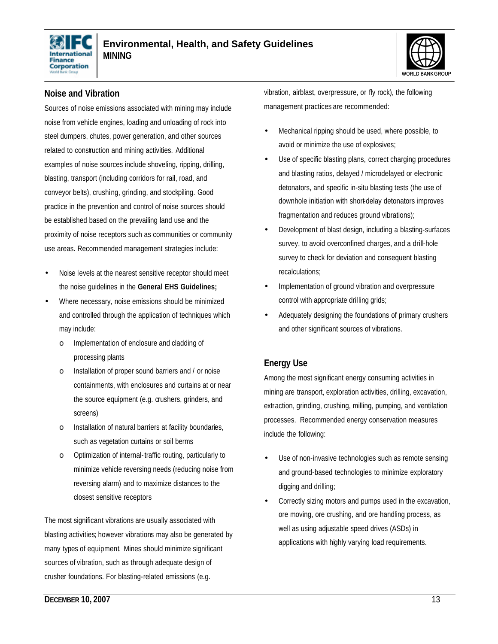

**MINING**



#### **Noise and Vibration**

Sources of noise emissions associated with mining may include noise from vehicle engines, loading and unloading of rock into steel dumpers, chutes, power generation, and other sources related to construction and mining activities. Additional examples of noise sources include shoveling, ripping, drilling, blasting, transport (including corridors for rail, road, and conveyor belts), crushing, grinding, and stockpiling. Good practice in the prevention and control of noise sources should be established based on the prevailing land use and the proximity of noise receptors such as communities or community use areas. Recommended management strategies include:

- Noise levels at the nearest sensitive receptor should meet the noise guidelines in the **General EHS Guidelines;**
- Where necessary, noise emissions should be minimized and controlled through the application of techniques which may include:
	- o Implementation of enclosure and cladding of processing plants
	- o Installation of proper sound barriers and / or noise containments, with enclosures and curtains at or near the source equipment (e.g. crushers, grinders, and screens)
	- o Installation of natural barriers at facility boundaries, such as vegetation curtains or soil berms
	- o Optimization of internal-traffic routing, particularly to minimize vehicle reversing needs (reducing noise from reversing alarm) and to maximize distances to the closest sensitive receptors

The most significant vibrations are usually associated with blasting activities; however vibrations may also be generated by many types of equipment. Mines should minimize significant sources of vibration, such as through adequate design of crusher foundations. For blasting-related emissions (e.g.

vibration, airblast, overpressure, or fly rock), the following management practices are recommended:

- Mechanical ripping should be used, where possible, to avoid or minimize the use of explosives;
- Use of specific blasting plans, correct charging procedures and blasting ratios, delayed / microdelayed or electronic detonators, and specific in-situ blasting tests (the use of downhole initiation with short-delay detonators improves fragmentation and reduces ground vibrations);
- Development of blast design, including a blasting-surfaces survey, to avoid overconfined charges, and a drill-hole survey to check for deviation and consequent blasting recalculations;
- Implementation of ground vibration and overpressure control with appropriate drilling grids;
- Adequately designing the foundations of primary crushers and other significant sources of vibrations.

#### **Energy Use**

Among the most significant energy consuming activities in mining are transport, exploration activities, drilling, excavation, extraction, grinding, crushing, milling, pumping, and ventilation processes. Recommended energy conservation measures include the following:

- Use of non-invasive technologies such as remote sensing and ground-based technologies to minimize exploratory digging and drilling;
- Correctly sizing motors and pumps used in the excavation, ore moving, ore crushing, and ore handling process, as well as using adjustable speed drives (ASDs) in applications with highly varying load requirements.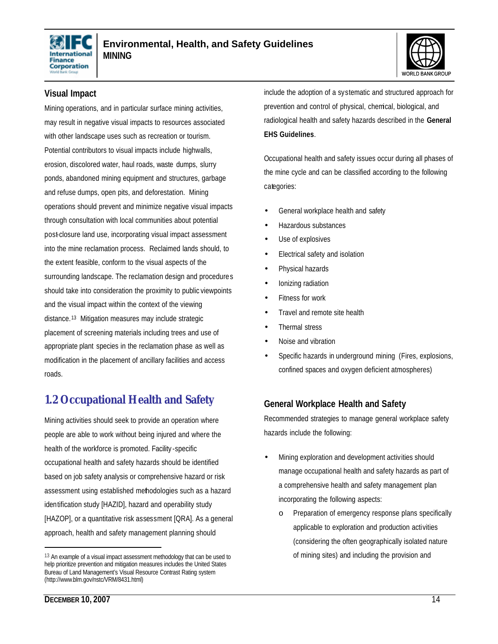



#### **Visual Impact**

Mining operations, and in particular surface mining activities, may result in negative visual impacts to resources associated with other landscape uses such as recreation or tourism. Potential contributors to visual impacts include highwalls, erosion, discolored water, haul roads, waste dumps, slurry ponds, abandoned mining equipment and structures, garbage and refuse dumps, open pits, and deforestation. Mining operations should prevent and minimize negative visual impacts through consultation with local communities about potential post-closure land use, incorporating visual impact assessment into the mine reclamation process. Reclaimed lands should, to the extent feasible, conform to the visual aspects of the surrounding landscape. The reclamation design and procedures should take into consideration the proximity to public viewpoints and the visual impact within the context of the viewing distance. <sup>13</sup> Mitigation measures may include strategic placement of screening materials including trees and use of appropriate plant species in the reclamation phase as well as modification in the placement of ancillary facilities and access roads.

### **1.2 Occupational Health and Safety**

Mining activities should seek to provide an operation where people are able to work without being injured and where the health of the workforce is promoted. Facility -specific occupational health and safety hazards should be identified based on job safety analysis or comprehensive hazard or risk assessment using established methodologies such as a hazard identification study [HAZID], hazard and operability study [HAZOP], or a quantitative risk assessment [QRA]. As a general approach, health and safety management planning should

include the adoption of a systematic and structured approach for prevention and control of physical, chemical, biological, and radiological health and safety hazards described in the **General EHS Guidelines**.

Occupational health and safety issues occur during all phases of the mine cycle and can be classified according to the following categories:

- General workplace health and safety
- Hazardous substances
- Use of explosives
- Electrical safety and isolation
- Physical hazards
- Ionizing radiation
- Fitness for work
- Travel and remote site health
- Thermal stress
- Noise and vibration
- Specific hazards in underground mining (Fires, explosions, confined spaces and oxygen deficient atmospheres)

#### **General Workplace Health and Safety**

Recommended strategies to manage general workplace safety hazards include the following:

- Mining exploration and development activities should manage occupational health and safety hazards as part of a comprehensive health and safety management plan incorporating the following aspects:
	- o Preparation of emergency response plans specifically applicable to exploration and production activities (considering the often geographically isolated nature of mining sites) and including the provision and

<sup>&</sup>lt;sup>13</sup> An example of a visual impact assessment methodology that can be used to help prioritize prevention and mitigation measures includes the United States Bureau of Land Management's Visual Resource Contrast Rating system (http://www.blm.gov/nstc/VRM/8431.html)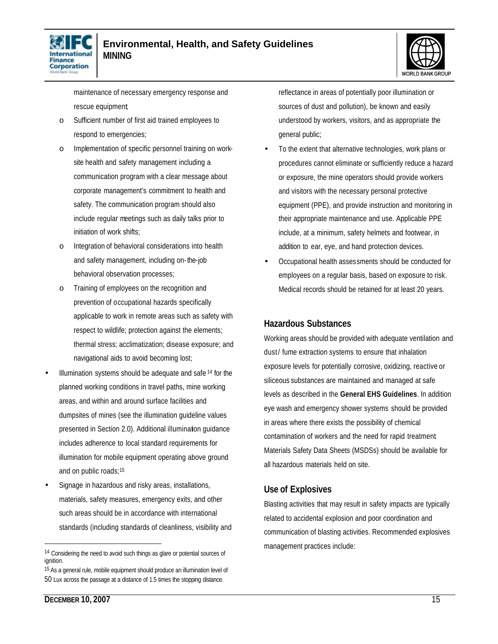



maintenance of necessary emergency response and rescue equipment;

- o Sufficient number of first aid trained employees to respond to emergencies;
- o Implementation of specific personnel training on worksite health and safety management including a communication program with a clear message about corporate management's commitment to health and safety. The communication program should also include regular meetings such as daily talks prior to initiation of work shifts;
- Integration of behavioral considerations into health and safety management, including on-the-job behavioral observation processes;
- o Training of employees on the recognition and prevention of occupational hazards specifically applicable to work in remote areas such as safety with respect to wildlife; protection against the elements; thermal stress; acclimatization; disease exposure; and navigational aids to avoid becoming lost;
- Illumination systems should be adequate and safe 14 for the planned working conditions in travel paths, mine working areas, and within and around surface facilities and dumpsites of mines (see the illumination guideline values presented in Section 2.0). Additional illumination guidance includes adherence to local standard requirements for illumination for mobile equipment operating above ground and on public roads;<sup>15</sup>
- Signage in hazardous and risky areas, installations, materials, safety measures, emergency exits, and other such areas should be in accordance with international standards (including standards of cleanliness, visibility and

reflectance in areas of potentially poor illumination or sources of dust and pollution), be known and easily understood by workers, visitors, and as appropriate the general public;

- To the extent that alternative technologies, work plans or procedures cannot eliminate or sufficiently reduce a hazard or exposure, the mine operators should provide workers and visitors with the necessary personal protective equipment (PPE), and provide instruction and monitoring in their appropriate maintenance and use. Applicable PPE include, at a minimum, safety helmets and footwear, in addition to ear, eye, and hand protection devices.
- Occupational health assessments should be conducted for employees on a regular basis, based on exposure to risk. Medical records should be retained for at least 20 years.

#### **Hazardous Substances**

Working areas should be provided with adequate ventilation and dust/ fume extraction systems to ensure that inhalation exposure levels for potentially corrosive, oxidizing, reactive or siliceous substances are maintained and managed at safe levels as described in the **General EHS Guidelines**. In addition eye wash and emergency shower systems should be provided in areas where there exists the possibility of chemical contamination of workers and the need for rapid treatment. Materials Safety Data Sheets (MSDSs) should be available for all hazardous materials held on site.

#### **Use of Explosives**

Blasting activities that may result in safety impacts are typically related to accidental explosion and poor coordination and communication of blasting activities. Recommended explosives management practices include:

<sup>14</sup> Considering the need to avoid such things as glare or potential sources of ignition.

<sup>15</sup> As a general rule, mobile equipment should produce an illumination level of 50 Lux across the passage at a distance of 1.5 times the stopping distance.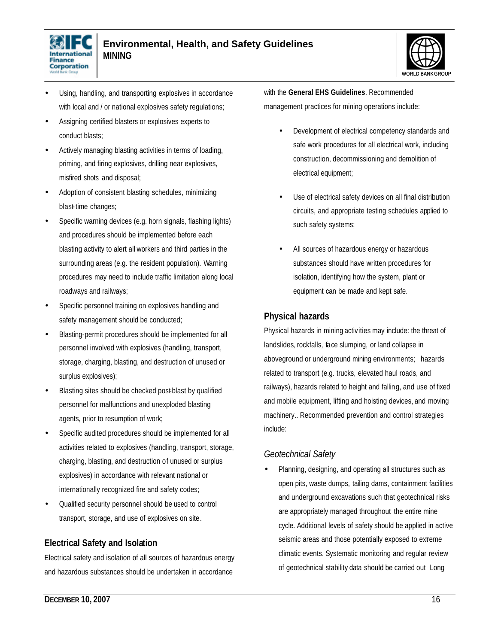



- Using, handling, and transporting explosives in accordance with local and / or national explosives safety regulations;
- Assigning certified blasters or explosives experts to conduct blasts;
- Actively managing blasting activities in terms of loading, priming, and firing explosives, drilling near explosives, misfired shots and disposal;
- Adoption of consistent blasting schedules, minimizing blast-time changes;
- Specific warning devices (e.g. horn signals, flashing lights) and procedures should be implemented before each blasting activity to alert all workers and third parties in the surrounding areas (e.g. the resident population). Warning procedures may need to include traffic limitation along local roadways and railways;
- Specific personnel training on explosives handling and safety management should be conducted;
- Blasting-permit procedures should be implemented for all personnel involved with explosives (handling, transport, storage, charging, blasting, and destruction of unused or surplus explosives);
- Blasting sites should be checked post-blast by qualified personnel for malfunctions and unexploded blasting agents, prior to resumption of work;
- Specific audited procedures should be implemented for all activities related to explosives (handling, transport, storage, charging, blasting, and destruction of unused or surplus explosives) in accordance with relevant national or internationally recognized fire and safety codes;
- Qualified security personnel should be used to control transport, storage, and use of explosives on site.

#### **Electrical Safety and Isolation**

Electrical safety and isolation of all sources of hazardous energy and hazardous substances should be undertaken in accordance

with the **General EHS Guidelines**. Recommended management practices for mining operations include:

- Development of electrical competency standards and safe work procedures for all electrical work, including construction, decommissioning and demolition of electrical equipment;
- Use of electrical safety devices on all final distribution circuits, and appropriate testing schedules applied to such safety systems;
- All sources of hazardous energy or hazardous substances should have written procedures for isolation, identifying how the system, plant or equipment can be made and kept safe.

#### **Physical hazards**

Physical hazards in mining activities may include: the threat of landslides, rockfalls, face slumping, or land collapse in aboveground or underground mining environments; hazards related to transport (e.g. trucks, elevated haul roads, and railways), hazards related to height and falling, and use of fixed and mobile equipment, lifting and hoisting devices, and moving machinery.. Recommended prevention and control strategies include:

#### *Geotechnical Safety*

• Planning, designing, and operating all structures such as open pits, waste dumps, tailing dams, containment facilities and underground excavations such that geotechnical risks are appropriately managed throughout the entire mine cycle. Additional levels of safety should be applied in active seismic areas and those potentially exposed to extreme climatic events. Systematic monitoring and regular review of geotechnical stability data should be carried out Long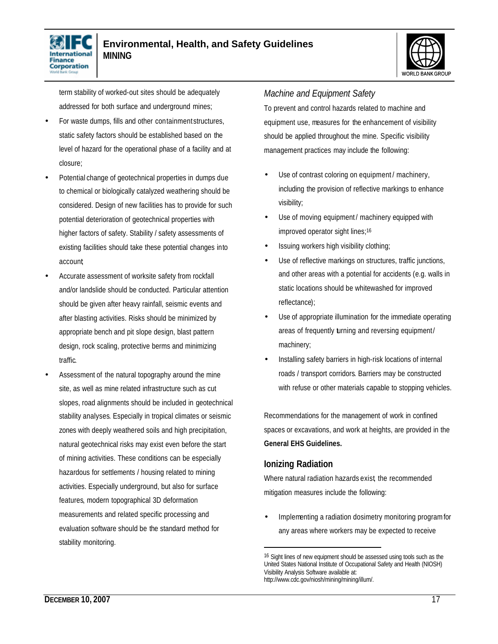



term stability of worked-out sites should be adequately addressed for both surface and underground mines;

- For waste dumps, fills and other containment structures, static safety factors should be established based on the level of hazard for the operational phase of a facility and at closure;
- Potential change of geotechnical properties in dumps due to chemical or biologically catalyzed weathering should be considered. Design of new facilities has to provide for such potential deterioration of geotechnical properties with higher factors of safety. Stability / safety assessments of existing facilities should take these potential changes into account;
- Accurate assessment of worksite safety from rockfall and/or landslide should be conducted. Particular attention should be given after heavy rainfall, seismic events and after blasting activities. Risks should be minimized by appropriate bench and pit slope design, blast pattern design, rock scaling, protective berms and minimizing traffic.
- Assessment of the natural topography around the mine site, as well as mine related infrastructure such as cut slopes, road alignments should be included in geotechnical stability analyses. Especially in tropical climates or seismic zones with deeply weathered soils and high precipitation, natural geotechnical risks may exist even before the start of mining activities. These conditions can be especially hazardous for settlements / housing related to mining activities. Especially underground, but also for surface features, modern topographical 3D deformation measurements and related specific processing and evaluation software should be the standard method for stability monitoring.

#### *Machine and Equipment Safety*

To prevent and control hazards related to machine and equipment use, measures for the enhancement of visibility should be applied throughout the mine. Specific visibility management practices may include the following:

- Use of contrast coloring on equipment / machinery, including the provision of reflective markings to enhance visibility;
- Use of moving equipment/ machinery equipped with improved operator sight lines;<sup>16</sup>
- Issuing workers high visibility clothing;
- Use of reflective markings on structures, traffic junctions, and other areas with a potential for accidents (e.g. walls in static locations should be whitewashed for improved reflectance);
- Use of appropriate illumination for the immediate operating areas of frequently turning and reversing equipment/ machinery;
- Installing safety barriers in high-risk locations of internal roads / transport corridors. Barriers may be constructed with refuse or other materials capable to stopping vehicles.

Recommendations for the management of work in confined spaces or excavations, and work at heights, are provided in the **General EHS Guidelines.**

#### **Ionizing Radiation**

 $\overline{a}$ 

Where natural radiation hazards exist, the recommended mitigation measures include the following:

• Implementing a radiation dosimetry monitoring program for any areas where workers may be expected to receive

<sup>&</sup>lt;sup>16</sup> Sight lines of new equipment should be assessed using tools such as the United States National Institute of Occupational Safety and Health (NIOSH) Visibility Analysis Software available at: http://www.cdc.gov/niosh/mining/mining/illum/.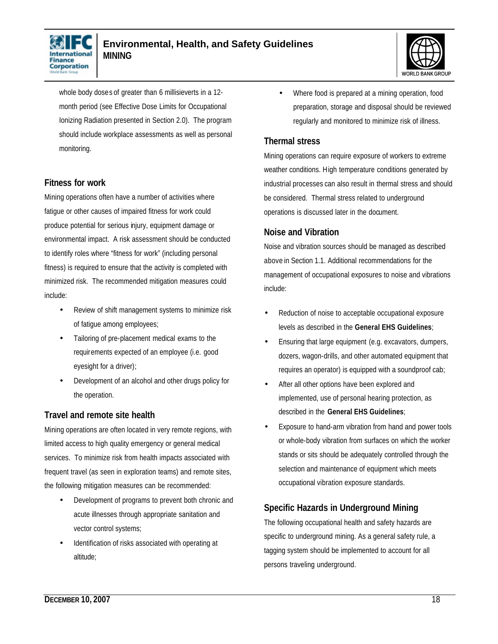



whole body doses of greater than 6 millisieverts in a 12month period (see Effective Dose Limits for Occupational Ionizing Radiation presented in Section 2.0). The program should include workplace assessments as well as personal monitoring.

#### **Fitness for work**

Mining operations often have a number of activities where fatigue or other causes of impaired fitness for work could produce potential for serious injury, equipment damage or environmental impact. A risk assessment should be conducted to identify roles where "fitness for work" (including personal fitness) is required to ensure that the activity is completed with minimized risk. The recommended mitigation measures could include:

- Review of shift management systems to minimize risk of fatigue among employees;
- Tailoring of pre-placement medical exams to the requirements expected of an employee (i.e. good eyesight for a driver);
- Development of an alcohol and other drugs policy for the operation.

#### **Travel and remote site health**

Mining operations are often located in very remote regions, with limited access to high quality emergency or general medical services. To minimize risk from health impacts associated with frequent travel (as seen in exploration teams) and remote sites, the following mitigation measures can be recommended:

- Development of programs to prevent both chronic and acute illnesses through appropriate sanitation and vector control systems;
- Identification of risks associated with operating at altitude;

• Where food is prepared at a mining operation, food preparation, storage and disposal should be reviewed regularly and monitored to minimize risk of illness.

#### **Thermal stress**

Mining operations can require exposure of workers to extreme weather conditions. High temperature conditions generated by industrial processes can also result in thermal stress and should be considered. Thermal stress related to underground operations is discussed later in the document.

#### **Noise and Vibration**

Noise and vibration sources should be managed as described above in Section 1.1. Additional recommendations for the management of occupational exposures to noise and vibrations include:

- Reduction of noise to acceptable occupational exposure levels as described in the **General EHS Guidelines**;
- Ensuring that large equipment (e.g. excavators, dumpers, dozers, wagon-drills, and other automated equipment that requires an operator) is equipped with a soundproof cab;
- After all other options have been explored and implemented, use of personal hearing protection, as described in the **General EHS Guidelines**;
- Exposure to hand-arm vibration from hand and power tools or whole-body vibration from surfaces on which the worker stands or sits should be adequately controlled through the selection and maintenance of equipment which meets occupational vibration exposure standards.

#### **Specific Hazards in Underground Mining**

The following occupational health and safety hazards are specific to underground mining. As a general safety rule, a tagging system should be implemented to account for all persons traveling underground.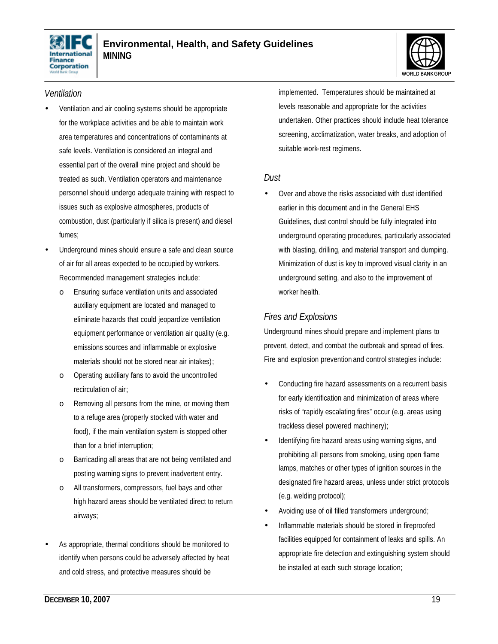



#### *Ventilation*

- Ventilation and air cooling systems should be appropriate for the workplace activities and be able to maintain work area temperatures and concentrations of contaminants at safe levels. Ventilation is considered an integral and essential part of the overall mine project and should be treated as such. Ventilation operators and maintenance personnel should undergo adequate training with respect to issues such as explosive atmospheres, products of combustion, dust (particularly if silica is present) and diesel fumes;
- Underground mines should ensure a safe and clean source of air for all areas expected to be occupied by workers. Recommended management strategies include:
	- o Ensuring surface ventilation units and associated auxiliary equipment are located and managed to eliminate hazards that could jeopardize ventilation equipment performance or ventilation air quality (e.g. emissions sources and inflammable or explosive materials should not be stored near air intakes);
	- o Operating auxiliary fans to avoid the uncontrolled recirculation of air;
	- o Removing all persons from the mine, or moving them to a refuge area (properly stocked with water and food), if the main ventilation system is stopped other than for a brief interruption;
	- o Barricading all areas that are not being ventilated and posting warning signs to prevent inadvertent entry.
	- o All transformers, compressors, fuel bays and other high hazard areas should be ventilated direct to return airways;
- As appropriate, thermal conditions should be monitored to identify when persons could be adversely affected by heat and cold stress, and protective measures should be

implemented. Temperatures should be maintained at levels reasonable and appropriate for the activities undertaken. Other practices should include heat tolerance screening, acclimatization, water breaks, and adoption of suitable work-rest regimens.

#### *Dust*

Over and above the risks associated with dust identified earlier in this document and in the General EHS Guidelines, dust control should be fully integrated into underground operating procedures, particularly associated with blasting, drilling, and material transport and dumping. Minimization of dust is key to improved visual clarity in an underground setting, and also to the improvement of worker health.

#### *Fires and Explosions*

Underground mines should prepare and implement plans to prevent, detect, and combat the outbreak and spread of fires. Fire and explosion prevention and control strategies include:

- Conducting fire hazard assessments on a recurrent basis for early identification and minimization of areas where risks of "rapidly escalating fires" occur (e.g. areas using trackless diesel powered machinery);
- Identifying fire hazard areas using warning signs, and prohibiting all persons from smoking, using open flame lamps, matches or other types of ignition sources in the designated fire hazard areas, unless under strict protocols (e.g. welding protocol);
- Avoiding use of oil filled transformers underground;
- Inflammable materials should be stored in fireproofed facilities equipped for containment of leaks and spills. An appropriate fire detection and extinguishing system should be installed at each such storage location;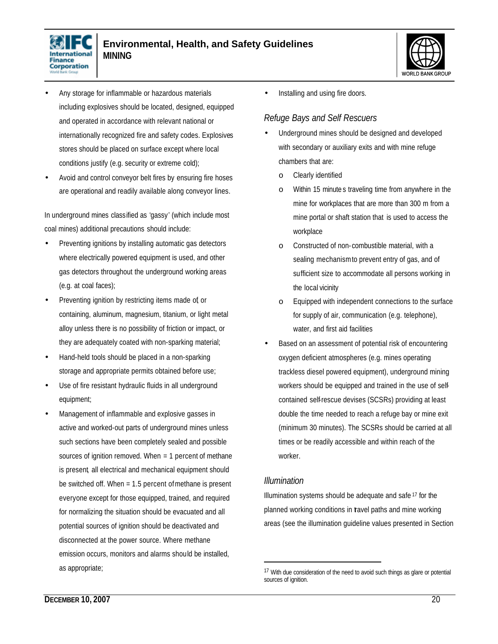

#### **Environmental, Health, and Safety Guidelines**



• Any storage for inflammable or hazardous materials including explosives should be located, designed, equipped and operated in accordance with relevant national or internationally recognized fire and safety codes. Explosives stores should be placed on surface except where local conditions justify (e.g. security or extreme cold);

**MINING**

Avoid and control conveyor belt fires by ensuring fire hoses are operational and readily available along conveyor lines.

In underground mines classified as 'gassy' (which include most coal mines) additional precautions should include:

- Preventing ignitions by installing automatic gas detectors where electrically powered equipment is used, and other gas detectors throughout the underground working areas (e.g. at coal faces);
- Preventing ignition by restricting items made of, or containing, aluminum, magnesium, titanium, or light metal alloy unless there is no possibility of friction or impact, or they are adequately coated with non-sparking material;
- Hand-held tools should be placed in a non-sparking storage and appropriate permits obtained before use;
- Use of fire resistant hydraulic fluids in all underground equipment;
- Management of inflammable and explosive gasses in active and worked-out parts of underground mines unless such sections have been completely sealed and possible sources of ignition removed. When = 1 percent of methane is present, all electrical and mechanical equipment should be switched off. When = 1.5 percent of methane is present everyone except for those equipped, trained, and required for normalizing the situation should be evacuated and all potential sources of ignition should be deactivated and disconnected at the power source. Where methane emission occurs, monitors and alarms should be installed, as appropriate;

• Installing and using fire doors.

#### *Refuge Bays and Self Rescuers*

- Underground mines should be designed and developed with secondary or auxiliary exits and with mine refuge chambers that are:
	- o Clearly identified
	- o Within 15 minute s traveling time from anywhere in the mine for workplaces that are more than 300 m from a mine portal or shaft station that is used to access the workplace
	- o Constructed of non- combustible material, with a sealing mechanism to prevent entry of gas, and of sufficient size to accommodate all persons working in the local vicinity
	- o Equipped with independent connections to the surface for supply of air, communication (e.g. telephone), water, and first aid facilities
- Based on an assessment of potential risk of encountering oxygen deficient atmospheres (e.g. mines operating trackless diesel powered equipment), underground mining workers should be equipped and trained in the use of selfcontained self-rescue devises (SCSRs) providing at least double the time needed to reach a refuge bay or mine exit (minimum 30 minutes). The SCSRs should be carried at all times or be readily accessible and within reach of the worker.

#### *Illumination*

 $\overline{a}$ 

Illumination systems should be adequate and safe <sup>17</sup> for the planned working conditions in travel paths and mine working areas (see the illumination guideline values presented in Section

<sup>17</sup> With due consideration of the need to avoid such things as glare or potential sources of ignition.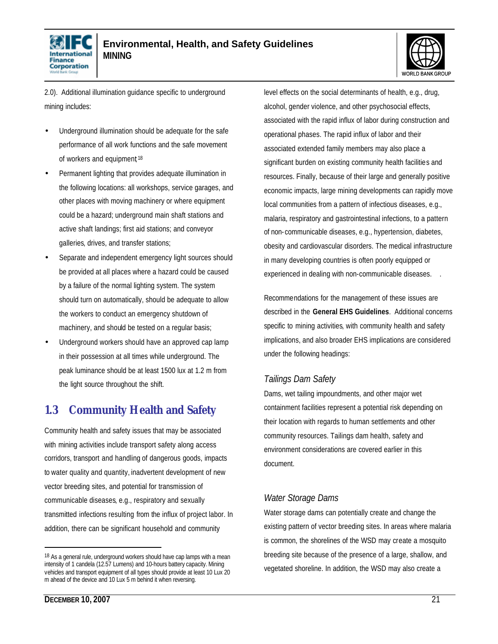



2.0). Additional illumination guidance specific to underground mining includes:

- Underground illumination should be adequate for the safe performance of all work functions and the safe movement of workers and equipment<sup>18</sup>
- Permanent lighting that provides adequate illumination in the following locations: all workshops, service garages, and other places with moving machinery or where equipment could be a hazard; underground main shaft stations and active shaft landings; first aid stations; and conveyor galleries, drives, and transfer stations;
- Separate and independent emergency light sources should be provided at all places where a hazard could be caused by a failure of the normal lighting system. The system should turn on automatically, should be adequate to allow the workers to conduct an emergency shutdown of machinery, and should be tested on a regular basis;
- Underground workers should have an approved cap lamp in their possession at all times while underground. The peak luminance should be at least 1500 lux at 1.2 m from the light source throughout the shift.

### **1.3 Community Health and Safety**

Community health and safety issues that may be associated with mining activities include transport safety along access corridors, transport and handling of dangerous goods, impacts to water quality and quantity, inadvertent development of new vector breeding sites, and potential for transmission of communicable diseases, e.g., respiratory and sexually transmitted infections resulting from the influx of project labor. In addition, there can be significant household and community

level effects on the social determinants of health, e.g., drug, alcohol, gender violence, and other psychosocial effects, associated with the rapid influx of labor during construction and operational phases. The rapid influx of labor and their associated extended family members may also place a significant burden on existing community health facilities and resources. Finally, because of their large and generally positive economic impacts, large mining developments can rapidly move local communities from a pattern of infectious diseases, e.g., malaria, respiratory and gastrointestinal infections, to a pattern of non- communicable diseases, e.g., hypertension, diabetes, obesity and cardiovascular disorders. The medical infrastructure in many developing countries is often poorly equipped or experienced in dealing with non-communicable diseases. .

Recommendations for the management of these issues are described in the **General EHS Guidelines**. Additional concerns specific to mining activities, with community health and safety implications, and also broader EHS implications are considered under the following headings:

#### *Tailings Dam Safety*

Dams, wet tailing impoundments, and other major wet containment facilities represent a potential risk depending on their location with regards to human settlements and other community resources. Tailings dam health, safety and environment considerations are covered earlier in this document.

#### *Water Storage Dams*

Water storage dams can potentially create and change the existing pattern of vector breeding sites. In areas where malaria is common, the shorelines of the WSD may create a mosquito breeding site because of the presence of a large, shallow, and vegetated shoreline. In addition, the WSD may also create a

<sup>18</sup> As a general rule, underground workers should have cap lamps with a mean intensity of 1 candela (12.57 Lumens) and 10-hours battery capacity. Mining vehicles and transport equipment of all types should provide at least 10 Lux 20 m ahead of the device and 10 Lux 5 m behind it when reversing.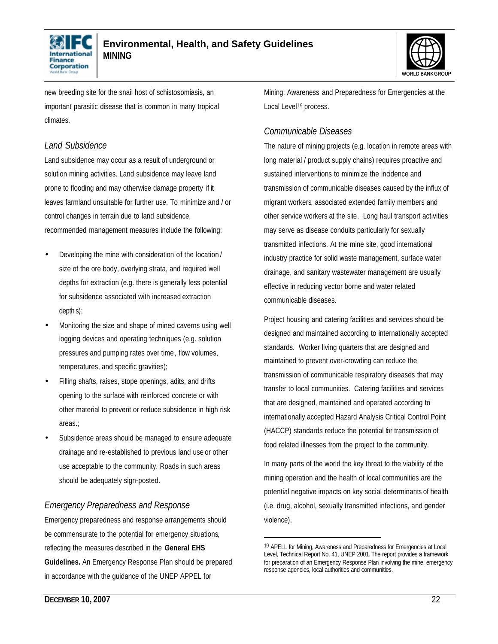



new breeding site for the snail host of schistosomiasis, an important parasitic disease that is common in many tropical climates.

#### *Land Subsidence*

Land subsidence may occur as a result of underground or solution mining activities. Land subsidence may leave land prone to flooding and may otherwise damage property if it leaves farmland unsuitable for further use. To minimize and / or control changes in terrain due to land subsidence, recommended management measures include the following:

- Developing the mine with consideration of the location / size of the ore body, overlying strata, and required well depths for extraction (e.g. there is generally less potential for subsidence associated with increased extraction depth s);
- Monitoring the size and shape of mined caverns using well logging devices and operating techniques (e.g. solution pressures and pumping rates over time, flow volumes, temperatures, and specific gravities);
- Filling shafts, raises, stope openings, adits, and drifts opening to the surface with reinforced concrete or with other material to prevent or reduce subsidence in high risk areas.;
- Subsidence areas should be managed to ensure adequate drainage and re-established to previous land use or other use acceptable to the community. Roads in such areas should be adequately sign-posted.

#### *Emergency Preparedness and Response*

Emergency preparedness and response arrangements should be commensurate to the potential for emergency situations, reflecting the measures described in the **General EHS Guidelines.** An Emergency Response Plan should be prepared in accordance with the guidance of the UNEP APPEL for

Mining: Awareness and Preparedness for Emergencies at the Local Level<sup>19</sup> process.

#### *Communicable Diseases*

The nature of mining projects (e.g. location in remote areas with long material / product supply chains) requires proactive and sustained interventions to minimize the incidence and transmission of communicable diseases caused by the influx of migrant workers, associated extended family members and other service workers at the site. Long haul transport activities may serve as disease conduits particularly for sexually transmitted infections. At the mine site, good international industry practice for solid waste management, surface water drainage, and sanitary wastewater management are usually effective in reducing vector borne and water related communicable diseases.

Project housing and catering facilities and services should be designed and maintained according to internationally accepted standards. Worker living quarters that are designed and maintained to prevent over-crowding can reduce the transmission of communicable respiratory diseases that may transfer to local communities. Catering facilities and services that are designed, maintained and operated according to internationally accepted Hazard Analysis Critical Control Point (HACCP) standards reduce the potential for transmission of food related illnesses from the project to the community.

In many parts of the world the key threat to the viability of the mining operation and the health of local communities are the potential negative impacts on key social determinants of health (i.e. drug, alcohol, sexually transmitted infections, and gender violence).

<sup>19</sup> APELL for Mining, Awareness and Preparedness for Emergencies at Local Level, Technical Report No. 41, UNEP 2001. The report provides a framework for preparation of an Emergency Response Plan involving the mine, emergency response agencies, local authorities and communities.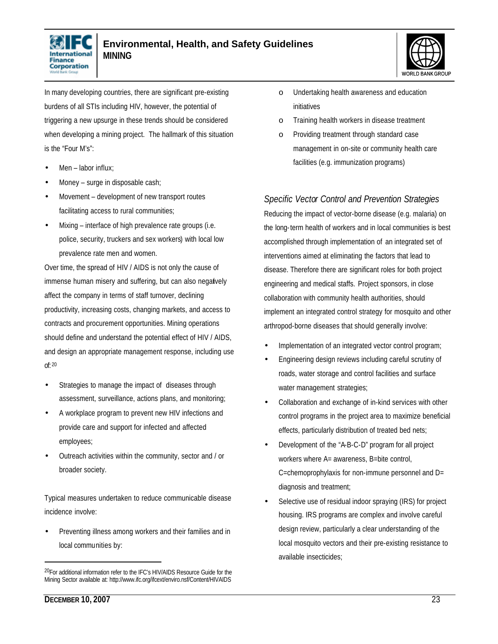



In many developing countries, there are significant pre-existing burdens of all STIs including HIV, however, the potential of triggering a new upsurge in these trends should be considered when developing a mining project. The hallmark of this situation is the "Four M's":

- Men labor influx;
- Money surge in disposable cash;
- Movement development of new transport routes facilitating access to rural communities;
- Mixing interface of high prevalence rate groups (i.e. police, security, truckers and sex workers) with local low prevalence rate men and women.

Over time, the spread of HIV / AIDS is not only the cause of immense human misery and suffering, but can also negatvely affect the company in terms of staff turnover, declining productivity, increasing costs, changing markets, and access to contracts and procurement opportunities. Mining operations should define and understand the potential effect of HIV / AIDS, and design an appropriate management response, including use of: <sup>20</sup>

- Strategies to manage the impact of diseases through assessment, surveillance, actions plans, and monitoring;
- A workplace program to prevent new HIV infections and provide care and support for infected and affected employees;
- Outreach activities within the community, sector and / or broader society.

Typical measures undertaken to reduce communicable disease incidence involve:

• Preventing illness among workers and their families and in local communities by:

- o Undertaking health awareness and education initiatives
- o Training health workers in disease treatment
- o Providing treatment through standard case management in on-site or community health care facilities (e.g. immunization programs)

*Specific Vector Control and Prevention Strategies* Reducing the impact of vector-borne disease (e.g. malaria) on the long-term health of workers and in local communities is best accomplished through implementation of an integrated set of interventions aimed at eliminating the factors that lead to disease. Therefore there are significant roles for both project engineering and medical staffs. Project sponsors, in close collaboration with community health authorities, should implement an integrated control strategy for mosquito and other arthropod-borne diseases that should generally involve:

- Implementation of an integrated vector control program;
- Engineering design reviews including careful scrutiny of roads, water storage and control facilities and surface water management strategies;
- Collaboration and exchange of in-kind services with other control programs in the project area to maximize beneficial effects, particularly distribution of treated bed nets;
- Development of the "A-B-C-D" program for all project workers where A= awareness, B=bite control, C=chemoprophylaxis for non-immune personnel and D= diagnosis and treatment;
- Selective use of residual indoor spraying (IRS) for project housing. IRS programs are complex and involve careful design review, particularly a clear understanding of the local mosquito vectors and their pre-existing resistance to available insecticides;

<sup>20</sup>For additional information refer to the IFC's HIV/AIDS Resource Guide for the Mining Sector available at: http://www.ifc.org/ifcext/enviro.nsf/Content/HIVAIDS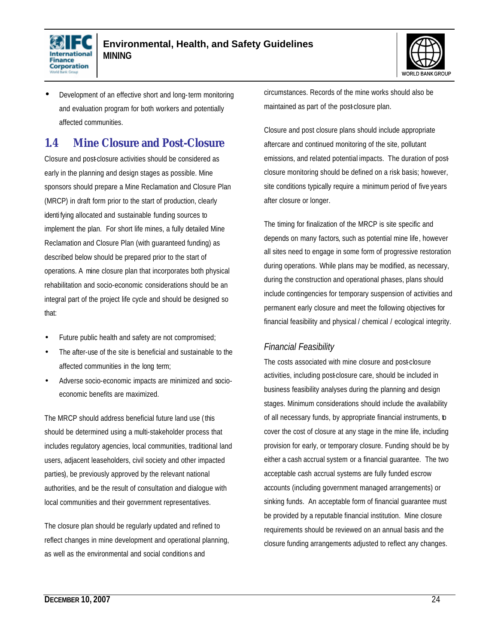



• Development of an effective short and long-term monitoring and evaluation program for both workers and potentially affected communities.

### **1.4 Mine Closure and Post-Closure**

Closure and post-closure activities should be considered as early in the planning and design stages as possible. Mine sponsors should prepare a Mine Reclamation and Closure Plan (MRCP) in draft form prior to the start of production, clearly identi fying allocated and sustainable funding sources to implement the plan. For short life mines, a fully detailed Mine Reclamation and Closure Plan (with guaranteed funding) as described below should be prepared prior to the start of operations. A mine closure plan that incorporates both physical rehabilitation and socio-economic considerations should be an integral part of the project life cycle and should be designed so that:

- Future public health and safety are not compromised;
- The after-use of the site is beneficial and sustainable to the affected communities in the long term;
- Adverse socio-economic impacts are minimized and socioeconomic benefits are maximized.

The MRCP should address beneficial future land use (this should be determined using a multi-stakeholder process that includes regulatory agencies, local communities, traditional land users, adjacent leaseholders, civil society and other impacted parties), be previously approved by the relevant national authorities, and be the result of consultation and dialogue with local communities and their government representatives.

The closure plan should be regularly updated and refined to reflect changes in mine development and operational planning, as well as the environmental and social conditions and

circumstances. Records of the mine works should also be maintained as part of the post-closure plan.

Closure and post closure plans should include appropriate aftercare and continued monitoring of the site, pollutant emissions, and related potential impacts. The duration of postclosure monitoring should be defined on a risk basis; however, site conditions typically require a minimum period of five years after closure or longer.

The timing for finalization of the MRCP is site specific and depends on many factors, such as potential mine life, however all sites need to engage in some form of progressive restoration during operations. While plans may be modified, as necessary, during the construction and operational phases, plans should include contingencies for temporary suspension of activities and permanent early closure and meet the following objectives for financial feasibility and physical / chemical / ecological integrity.

#### *Financial Feasibility*

The costs associated with mine closure and post-closure activities, including post-closure care, should be included in business feasibility analyses during the planning and design stages. Minimum considerations should include the availability of all necessary funds, by appropriate financial instruments, to cover the cost of closure at any stage in the mine life, including provision for early, or temporary closure. Funding should be by either a cash accrual system or a financial guarantee. The two acceptable cash accrual systems are fully funded escrow accounts (including government managed arrangements) or sinking funds. An acceptable form of financial guarantee must be provided by a reputable financial institution. Mine closure requirements should be reviewed on an annual basis and the closure funding arrangements adjusted to reflect any changes.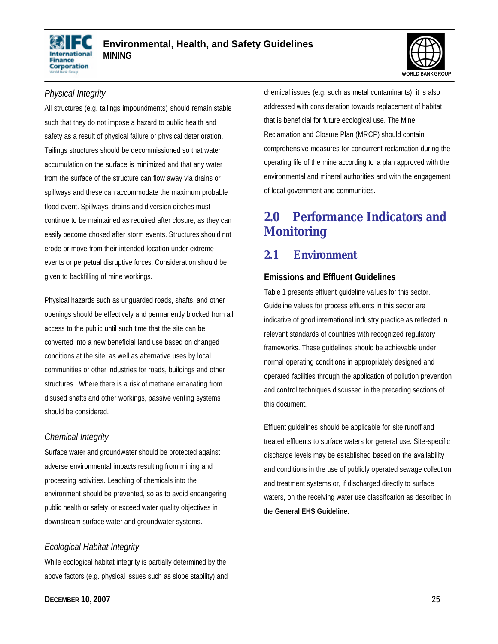



#### *Physical Integrity*

All structures (e.g. tailings impoundments) should remain stable such that they do not impose a hazard to public health and safety as a result of physical failure or physical deterioration. Tailings structures should be decommissioned so that water accumulation on the surface is minimized and that any water from the surface of the structure can flow away via drains or spillways and these can accommodate the maximum probable flood event. Spillways, drains and diversion ditches must continue to be maintained as required after closure, as they can easily become choked after storm events. Structures should not erode or move from their intended location under extreme events or perpetual disruptive forces. Consideration should be given to backfilling of mine workings.

Physical hazards such as unguarded roads, shafts, and other openings should be effectively and permanently blocked from all access to the public until such time that the site can be converted into a new beneficial land use based on changed conditions at the site, as well as alternative uses by local communities or other industries for roads, buildings and other structures. Where there is a risk of methane emanating from disused shafts and other workings, passive venting systems should be considered.

#### *Chemical Integrity*

Surface water and groundwater should be protected against adverse environmental impacts resulting from mining and processing activities. Leaching of chemicals into the environment should be prevented, so as to avoid endangering public health or safety or exceed water quality objectives in downstream surface water and groundwater systems.

### *Ecological Habitat Integrity*

While ecological habitat integrity is partially determined by the above factors (e.g. physical issues such as slope stability) and chemical issues (e.g. such as metal contaminants), it is also addressed with consideration towards replacement of habitat that is beneficial for future ecological use. The Mine Reclamation and Closure Plan (MRCP) should contain comprehensive measures for concurrent reclamation during the operating life of the mine according to a plan approved with the environmental and mineral authorities and with the engagement of local government and communities.

# **2.0 Performance Indicators and Monitoring**

### **2.1 Environment**

#### **Emissions and Effluent Guidelines**

Table 1 presents effluent guideline values for this sector. Guideline values for process effluents in this sector are indicative of good international industry practice as reflected in relevant standards of countries with recognized regulatory frameworks. These guidelines should be achievable under normal operating conditions in appropriately designed and operated facilities through the application of pollution prevention and control techniques discussed in the preceding sections of this document.

Effluent guidelines should be applicable for site runoff and treated effluents to surface waters for general use. Site-specific discharge levels may be established based on the availability and conditions in the use of publicly operated sewage collection and treatment systems or, if discharged directly to surface waters, on the receiving water use classification as described in the **General EHS Guideline.**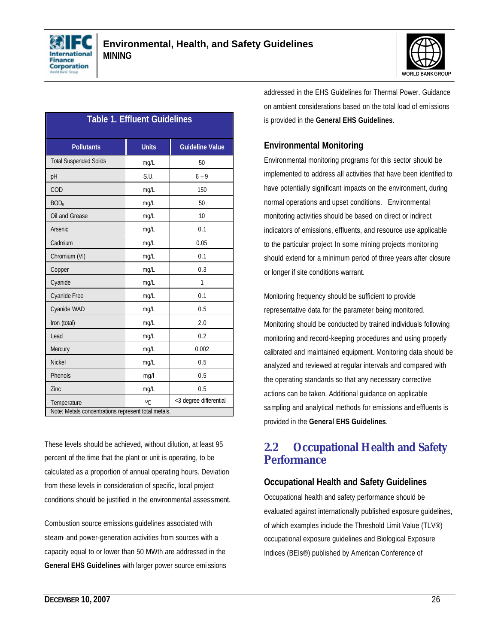



| <b>Table 1. Effluent Guidelines</b>                                |                |                        |  |
|--------------------------------------------------------------------|----------------|------------------------|--|
| <b>Pollutants</b>                                                  | <b>Units</b>   | <b>Guideline Value</b> |  |
| <b>Total Suspended Solids</b>                                      | mg/L           | 50                     |  |
| pH                                                                 | S.U.           | $6 - 9$                |  |
| COD                                                                | mg/L           | 150                    |  |
| BOD <sub>5</sub>                                                   | mg/L           | 50                     |  |
| Oil and Grease                                                     | mg/L           | 10                     |  |
| <b>Arsenic</b>                                                     | mg/L           | 0.1                    |  |
| Cadmium                                                            | mg/L           | 0.05                   |  |
| Chromium (VI)                                                      | mg/L           | 0.1                    |  |
| Copper                                                             | mg/L           | 0.3                    |  |
| Cyanide                                                            | mg/L           | 1                      |  |
| Cyanide Free                                                       | mg/L           | 0.1                    |  |
| Cyanide WAD                                                        | mg/L           | 0.5                    |  |
| Iron (total)                                                       | mg/L           | 2.0                    |  |
| Lead                                                               | mg/L           | 0.2                    |  |
| Mercury                                                            | mg/L           | 0.002                  |  |
| <b>Nickel</b>                                                      | mg/L           | 0.5                    |  |
| Phenols                                                            | mg/l           | 0.5                    |  |
| Zinc                                                               | mq/L           | 0.5                    |  |
| Temperature<br>Note: Metals concentrations represent total metals. | $\overline{C}$ | <3 degree differential |  |

These levels should be achieved, without dilution, at least 95 percent of the time that the plant or unit is operating, to be calculated as a proportion of annual operating hours. Deviation from these levels in consideration of specific, local project conditions should be justified in the environmental assessment.

Combustion source emissions guidelines associated with steam- and power-generation activities from sources with a capacity equal to or lower than 50 MWth are addressed in the **General EHS Guidelines** with larger power source emi ssions addressed in the EHS Guidelines for Thermal Power. Guidance on ambient considerations based on the total load of emi ssions is provided in the **General EHS Guidelines**.

#### **Environmental Monitoring**

Environmental monitoring programs for this sector should be implemented to address all activities that have been identified to have potentially significant impacts on the environment, during normal operations and upset conditions. Environmental monitoring activities should be based on direct or indirect indicators of emissions, effluents, and resource use applicable to the particular project. In some mining projects monitoring should extend for a minimum period of three years after closure or longer if site conditions warrant.

Monitoring frequency should be sufficient to provide representative data for the parameter being monitored. Monitoring should be conducted by trained individuals following monitoring and record-keeping procedures and using properly calibrated and maintained equipment. Monitoring data should be analyzed and reviewed at regular intervals and compared with the operating standards so that any necessary corrective actions can be taken. Additional guidance on applicable sampling and analytical methods for emissions and effluents is provided in the **General EHS Guidelines**.

### **2.2 Occupational Health and Safety Performance**

#### **Occupational Health and Safety Guidelines**

Occupational health and safety performance should be evaluated against internationally published exposure guidelines, of which examples include the Threshold Limit Value (TLV®) occupational exposure guidelines and Biological Exposure Indices (BEIs®) published by American Conference of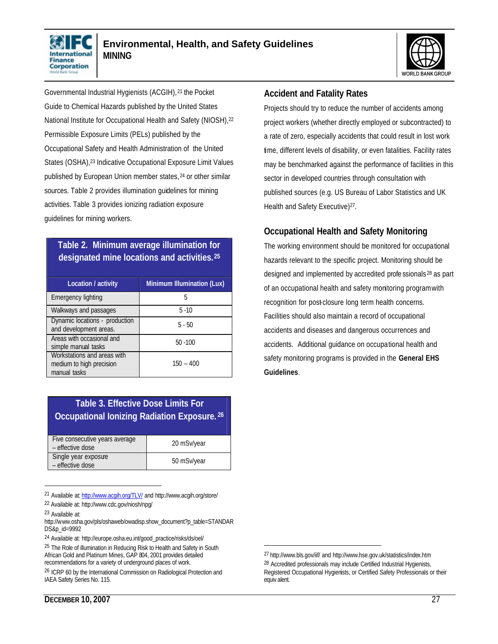



Governmental Industrial Hygienists (ACGIH), <sup>21</sup> the Pocket Guide to Chemical Hazards published by the United States National Institute for Occupational Health and Safety (NIOSH),<sup>22</sup> Permissible Exposure Limits (PELs) published by the Occupational Safety and Health Administration of the United States (OSHA),<sup>23</sup> Indicative Occupational Exposure Limit Values published by European Union member states, <sup>24</sup> or other similar sources. Table 2 provides illumination guidelines for mining activities. Table 3 provides ionizing radiation exposure guidelines for mining workers.

#### **Table 2. Minimum average illumination for designated mine locations and activities.<sup>25</sup>**

| Location / activity                                                     | <b>Minimum Illumination (Lux)</b> |
|-------------------------------------------------------------------------|-----------------------------------|
| Emergency lighting                                                      | 5                                 |
| Walkways and passages                                                   | $5 - 10$                          |
| Dynamic locations - production<br>and development areas.                | $5 - 50$                          |
| Areas with occasional and<br>simple manual tasks                        | $50 - 100$                        |
| Workstations and areas with<br>medium to high precision<br>manual tasks | $150 - 400$                       |

#### **Table 3. Effective Dose Limits For Occupational Ionizing Radiation Exposure. <sup>26</sup>**

| Five consecutive years average<br>- effective dose | 20 mSv/year |
|----------------------------------------------------|-------------|
| Single year exposure<br>- effective dose           | 50 mSv/year |

<sup>21</sup> Available at: http://www.acgih.org/TLV/ and http://www.acgih.org/store/

 $\overline{a}$ 

24 Available at: http://europe.osha.eu.int/good\_practice/risks/ds/oel/

25 The Role of illumination in Reducing Risk to Health and Safety in South African Gold and Platinum Mines, GAP 804, 2001 provides detailed recommendations for a variety of underground places of work.

#### **Accident and Fatality Rates**

Projects should try to reduce the number of accidents among project workers (whether directly employed or subcontracted) to a rate of zero, especially accidents that could result in lost work time, different levels of disability, or even fatalities. Facility rates may be benchmarked against the performance of facilities in this sector in developed countries through consultation with published sources (e.g. US Bureau of Labor Statistics and UK Health and Safety Executive)27.

#### **Occupational Health and Safety Monitoring**

The working environment should be monitored for occupational hazards relevant to the specific project. Monitoring should be designed and implemented by accredited profe ssionals <sup>28</sup> as part of an occupational health and safety monitoring program with recognition for post-closure long term health concerns. Facilities should also maintain a record of occupational accidents and diseases and dangerous occurrences and accidents. Additional guidance on occupational health and safety monitoring programs is provided in the **General EHS Guidelines**.

<sup>22</sup> Available at: http://www.cdc.gov/niosh/npg/

<sup>23</sup> Available at:

http://www.osha.gov/pls/oshaweb/owadisp.show\_document?p\_table=STANDAR DS&p\_id=9992

<sup>26</sup> ICRP 60 by the International Commission on Radiological Protection and IAEA Safety Series No. 115.

<sup>27</sup> http://www.bls.gov/iif/ and http://www.hse.gov.uk/statistics/index.htm 28 Accredited professionals may include Certified Industrial Hygienists, Registered Occupational Hygienists, or Certified Safety Professionals or their equiv alent.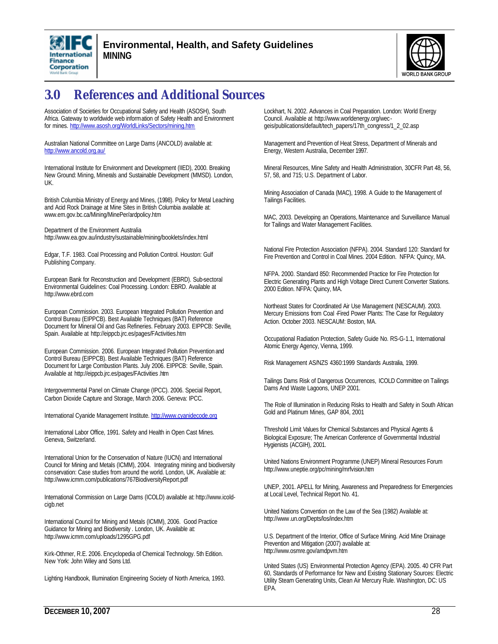



## **3.0 References and Additional Sources**

Association of Societies for Occupational Safety and Health (ASOSH), South Africa. Gateway to worldwide web information of Safety Health and Environment for mines. http://www.asosh.org/WorldLinks/Sectors/mining.htm

Australian National Committee on Large Dams (ANCOLD) available at: http://www.ancold.org.au/

International Institute for Environment and Development (IIED), 2000. Breaking New Ground: Mining, Minerals and Sustainable Development (MMSD). London, UK.

British Columbia Ministry of Energy and Mines, (1998). Policy for Metal Leaching and Acid Rock Drainage at Mine Sites in British Columbia available at: www.em.gov.bc.ca/Mining/MinePer/ardpolicy.htm

Department of the Environment Australia http://www.ea.gov.au/industry/sustainable/mining/booklets/index.html

Edgar, T.F. 1983. Coal Processing and Pollution Control. Houston: Gulf Publishing Company.

European Bank for Reconstruction and Development (EBRD). Sub-sectoral Environmental Guidelines: Coal Processing. London: EBRD. Available at http://www.ebrd.com

European Commission. 2003. European Integrated Pollution Prevention and Control Bureau (EIPPCB). Best Available Techniques (BAT) Reference Document for Mineral Oil and Gas Refineries. February 2003. EIPPCB: Seville, Spain. Available at http://eippcb.jrc.es/pages/FActivities.htm

European Commission. 2006. European Integrated Pollution Prevention and Control Bureau (EIPPCB). Best Available Techniques (BAT) Reference Document for Large Combustion Plants. July 2006. EIPPCB: Seville, Spain. Available at http://eippcb.jrc.es/pages/FActivities .htm

Intergovernmental Panel on Climate Change (IPCC). 2006. Special Report, Carbon Dioxide Capture and Storage, March 2006. Geneva: IPCC.

International Cyanide Management Institute. http://www.cyanidecode.org

International Labor Office, 1991. Safety and Health in Open Cast Mines. Geneva, Switzerland.

International Union for the Conservation of Nature (IUCN) and International Council for Mining and Metals (ICMM), 2004. Integrating mining and biodiversity conservation: Case studies from around the world. London, UK. Available at: http://www.icmm.com/publications/767BiodiversityReport.pdf

International Commission on Large Dams (ICOLD) available at: http://www.icoldcigb.net

International Council for Mining and Metals (ICMM), 2006. Good Practice Guidance for Mining and Biodiversity . London, UK. Available at: http://www.icmm.com/uploads/1295GPG.pdf

Kirk-Othmer, R.E. 2006. Encyclopedia of Chemical Technology. 5th Edition. New York: John Wiley and Sons Ltd.

Lighting Handbook, Illumination Engineering Society of North America, 1993.

Lockhart, N. 2002. Advances in Coal Preparation. London: World Energy Council. Available at http://www.worldenergy.org/wecgeis/publications/default/tech\_papers/17th\_congress/1\_2\_02.asp

Management and Prevention of Heat Stress, Department of Minerals and Energy, Western Australia, December 1997.

Mineral Resources, Mine Safety and Health Administration, 30CFR Part 48, 56, 57, 58, and 715; U.S. Department of Labor.

Mining Association of Canada (MAC), 1998. A Guide to the Management of Tailings Facilities.

MAC, 2003. Developing an Operations, Maintenance and Surveillance Manual for Tailings and Water Management Facilities.

National Fire Protection Association (NFPA). 2004. Standard 120: Standard for Fire Prevention and Control in Coal Mines. 2004 Edition. NFPA: Quincy, MA.

NFPA. 2000. Standard 850: Recommended Practice for Fire Protection for Electric Generating Plants and High Voltage Direct Current Converter Stations. 2000 Edition. NFPA: Quincy, MA.

Northeast States for Coordinated Air Use Management (NESCAUM). 2003. Mercury Emissions from Coal -Fired Power Plants: The Case for Regulatory Action. October 2003. NESCAUM: Boston, MA.

Occupational Radiation Protection, Safety Guide No. RS-G-1.1, International Atomic Energy Agency, Vienna, 1999.

Risk Management AS/NZS 4360:1999 Standards Australia, 1999.

Tailings Dams Risk of Dangerous Occurrences, ICOLD Committee on Tailings Dams And Waste Lagoons, UNEP 2001.

The Role of Illumination in Reducing Risks to Health and Safety in South African Gold and Platinum Mines, GAP 804, 2001

Threshold Limit Values for Chemical Substances and Physical Agents & Biological Exposure; The American Conference of Governmental Industrial Hygienists (ACGIH), 2001.

United Nations Environment Programme (UNEP) Mineral Resources Forum http://www.uneptie.org/pc/mining/mrfvision.htm

UNEP, 2001. APELL for Mining, Awareness and Preparedness for Emergencies at Local Level, Technical Report No. 41.

United Nations Convention on the Law of the Sea (1982) Available at: http://www.un.org/Depts/los/index.htm

U.S. Department of the Interior, Office of Surface Mining. Acid Mine Drainage Prevention and Mitigation (2007) available at: http://www.osmre.gov/amdpvm.htm

United States (US) Environmental Protection Agency (EPA). 2005. 40 CFR Part 60, Standards of Performance for New and Existing Stationary Sources: Electric Utility Steam Generating Units, Clean Air Mercury Rule. Washington, DC: US EPA.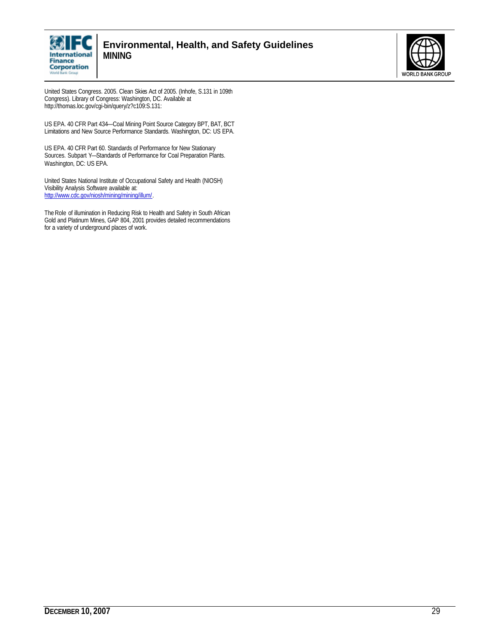



United States Congress. 2005. Clean Skies Act of 2005. (Inhofe, S.131 in 109th Congress). Library of Congress: Washington, DC. Available at http://thomas.loc.gov/cgi-bin/query/z?c109:S.131:

US EPA. 40 CFR Part 434—Coal Mining Point Source Category BPT, BAT, BCT Limitations and New Source Performance Standards. Washington, DC: US EPA.

US EPA. 40 CFR Part 60. Standards of Performance for New Stationary Sources. Subpart Y—Standards of Performance for Coal Preparation Plants. Washington, DC: US EPA.

United States National Institute of Occupational Safety and Health (NIOSH) Visibility Analysis Software available at: http://www.cdc.gov/niosh/mining/mining/illum/.

The Role of illumination in Reducing Risk to Health and Safety in South African Gold and Platinum Mines, GAP 804, 2001 provides detailed recommendations for a variety of underground places of work.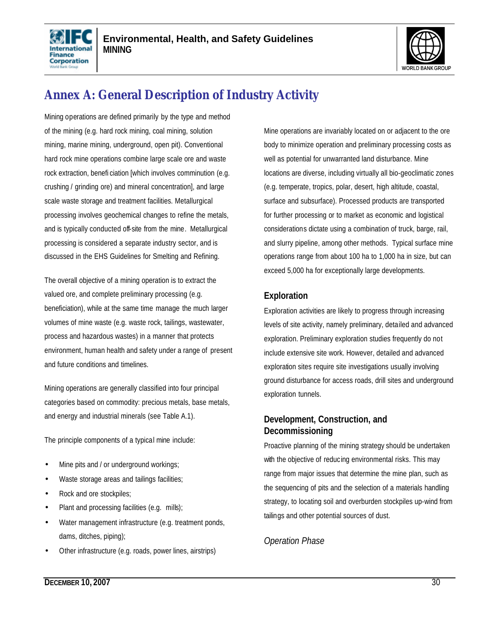



# **Annex A: General Description of Industry Activity**

Mining operations are defined primarily by the type and method of the mining (e.g. hard rock mining, coal mining, solution mining, marine mining, underground, open pit). Conventional hard rock mine operations combine large scale ore and waste rock extraction, benefi ciation [which involves comminution (e.g. crushing / grinding ore) and mineral concentration], and large scale waste storage and treatment facilities. Metallurgical processing involves geochemical changes to refine the metals, and is typically conducted off-site from the mine. Metallurgical processing is considered a separate industry sector, and is discussed in the EHS Guidelines for Smelting and Refining.

The overall objective of a mining operation is to extract the valued ore, and complete preliminary processing (e.g. beneficiation), while at the same time manage the much larger volumes of mine waste (e.g. waste rock, tailings, wastewater, process and hazardous wastes) in a manner that protects environment, human health and safety under a range of present and future conditions and timelines.

Mining operations are generally classified into four principal categories based on commodity: precious metals, base metals, and energy and industrial minerals (see Table A.1).

The principle components of a typical mine include:

- Mine pits and / or underground workings;
- Waste storage areas and tailings facilities;
- Rock and ore stockpiles;
- Plant and processing facilities (e.g. mills);
- Water management infrastructure (e.g. treatment ponds, dams, ditches, piping);
- Other infrastructure (e.g. roads, power lines, airstrips)

Mine operations are invariably located on or adjacent to the ore body to minimize operation and preliminary processing costs as well as potential for unwarranted land disturbance. Mine locations are diverse, including virtually all bio-geoclimatic zones (e.g. temperate, tropics, polar, desert, high altitude, coastal, surface and subsurface). Processed products are transported for further processing or to market as economic and logistical considerations dictate using a combination of truck, barge, rail, and slurry pipeline, among other methods. Typical surface mine operations range from about 100 ha to 1,000 ha in size, but can exceed 5,000 ha for exceptionally large developments.

#### **Exploration**

Exploration activities are likely to progress through increasing levels of site activity, namely preliminary, detailed and advanced exploration. Preliminary exploration studies frequently do not include extensive site work. However, detailed and advanced exploration sites require site investigations usually involving ground disturbance for access roads, drill sites and underground exploration tunnels.

#### **Development, Construction, and Decommissioning**

Proactive planning of the mining strategy should be undertaken with the objective of reducing environmental risks. This may range from major issues that determine the mine plan, such as the sequencing of pits and the selection of a materials handling strategy, to locating soil and overburden stockpiles up-wind from tailings and other potential sources of dust.

#### *Operation Phase*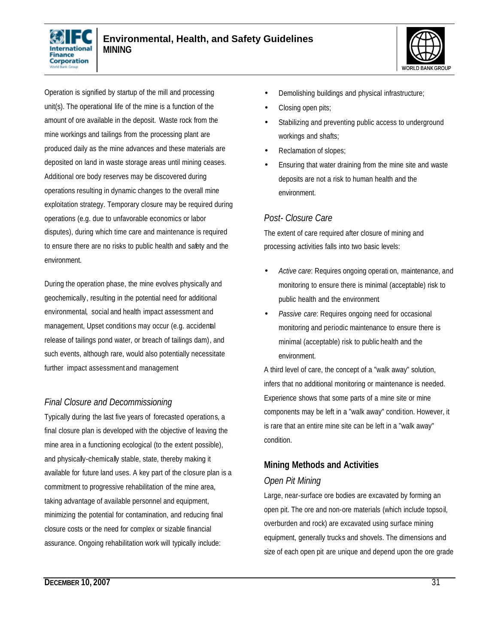

**MINING**



Operation is signified by startup of the mill and processing unit(s). The operational life of the mine is a function of the amount of ore available in the deposit. Waste rock from the mine workings and tailings from the processing plant are produced daily as the mine advances and these materials are deposited on land in waste storage areas until mining ceases. Additional ore body reserves may be discovered during operations resulting in dynamic changes to the overall mine exploitation strategy. Temporary closure may be required during operations (e.g. due to unfavorable economics or labor disputes), during which time care and maintenance is required to ensure there are no risks to public health and safety and the environment.

During the operation phase, the mine evolves physically and geochemically, resulting in the potential need for additional environmental, social and health impact assessment and management, Upset conditions may occur (e.g. accidental release of tailings pond water, or breach of tailings dam), and such events, although rare, would also potentially necessitate further impact assessment and management

#### *Final Closure and Decommissioning*

Typically during the last five years of forecasted operations, a final closure plan is developed with the objective of leaving the mine area in a functioning ecological (to the extent possible), and physically-chemically stable, state, thereby making it available for future land uses. A key part of the closure plan is a commitment to progressive rehabilitation of the mine area, taking advantage of available personnel and equipment, minimizing the potential for contamination, and reducing final closure costs or the need for complex or sizable financial assurance. Ongoing rehabilitation work will typically include:

- Demolishing buildings and physical infrastructure;
- Closing open pits;
- Stabilizing and preventing public access to underground workings and shafts;
- Reclamation of slopes;
- Ensuring that water draining from the mine site and waste deposits are not a risk to human health and the environment.

#### *Post- Closure Care*

The extent of care required after closure of mining and processing activities falls into two basic levels:

- *Active care*: Requires ongoing operati on, maintenance, and monitoring to ensure there is minimal (acceptable) risk to public health and the environment.
- *Passive care*: Requires ongoing need for occasional monitoring and periodic maintenance to ensure there is minimal (acceptable) risk to public health and the environment.

A third level of care, the concept of a "walk away" solution, infers that no additional monitoring or maintenance is needed. Experience shows that some parts of a mine site or mine components may be left in a "walk away" condition. However, it is rare that an entire mine site can be left in a "walk away" condition.

#### **Mining Methods and Activities**

#### *Open Pit Mining*

Large, near-surface ore bodies are excavated by forming an open pit. The ore and non-ore materials (which include topsoil, overburden and rock) are excavated using surface mining equipment, generally trucks and shovels. The dimensions and size of each open pit are unique and depend upon the ore grade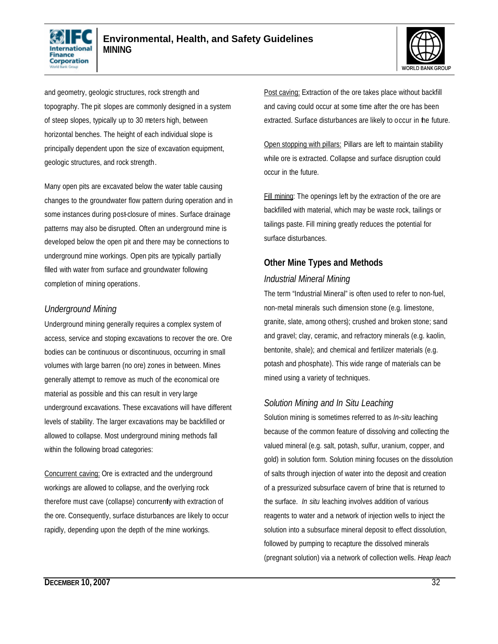



and geometry, geologic structures, rock strength and topography. The pit slopes are commonly designed in a system of steep slopes, typically up to 30 meters high, between horizontal benches. The height of each individual slope is principally dependent upon the size of excavation equipment, geologic structures, and rock strength.

Many open pits are excavated below the water table causing changes to the groundwater flow pattern during operation and in some instances during post-closure of mines. Surface drainage patterns may also be disrupted. Often an underground mine is developed below the open pit and there may be connections to underground mine workings. Open pits are typically partially filled with water from surface and groundwater following completion of mining operations.

#### *Underground Mining*

Underground mining generally requires a complex system of access, service and stoping excavations to recover the ore. Ore bodies can be continuous or discontinuous, occurring in small volumes with large barren (no ore) zones in between. Mines generally attempt to remove as much of the economical ore material as possible and this can result in very large underground excavations. These excavations will have different levels of stability. The larger excavations may be backfilled or allowed to collapse. Most underground mining methods fall within the following broad categories:

Concurrent caving: Ore is extracted and the underground workings are allowed to collapse, and the overlying rock therefore must cave (collapse) concurrently with extraction of the ore. Consequently, surface disturbances are likely to occur rapidly, depending upon the depth of the mine workings.

Post caving: Extraction of the ore takes place without backfill and caving could occur at some time after the ore has been extracted. Surface disturbances are likely to occur in the future.

Open stopping with pillars: Pillars are left to maintain stability while ore is extracted. Collapse and surface disruption could occur in the future.

Fill mining: The openings left by the extraction of the ore are backfilled with material, which may be waste rock, tailings or tailings paste. Fill mining greatly reduces the potential for surface disturbances.

#### **Other Mine Types and Methods**

#### *Industrial Mineral Mining*

The term "Industrial Mineral" is often used to refer to non-fuel, non-metal minerals such dimension stone (e.g. limestone, granite, slate, among others); crushed and broken stone; sand and gravel; clay, ceramic, and refractory minerals (e.g. kaolin, bentonite, shale); and chemical and fertilizer materials (e.g. potash and phosphate). This wide range of materials can be mined using a variety of techniques.

#### *Solution Mining and In Situ Leaching*

Solution mining is sometimes referred to as *In-situ* leaching because of the common feature of dissolving and collecting the valued mineral (e.g. salt, potash, sulfur, uranium, copper, and gold) in solution form. Solution mining focuses on the dissolution of salts through injection of water into the deposit and creation of a pressurized subsurface cavern of brine that is returned to the surface. *In situ* leaching involves addition of various reagents to water and a network of injection wells to inject the solution into a subsurface mineral deposit to effect dissolution, followed by pumping to recapture the dissolved minerals (pregnant solution) via a network of collection wells. *Heap leach*